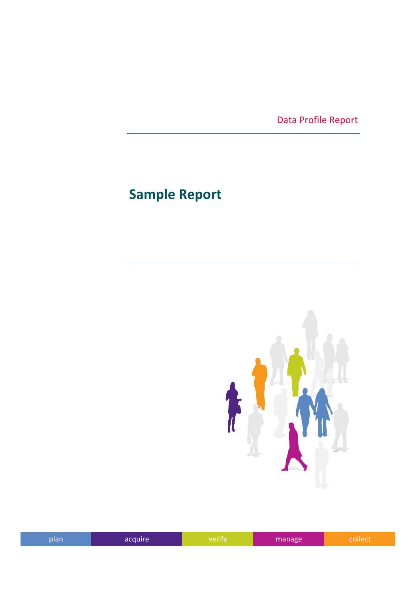Data Profile Report

## **Sample Report**



| plan | acquire | werity. | manage. | onect |
|------|---------|---------|---------|-------|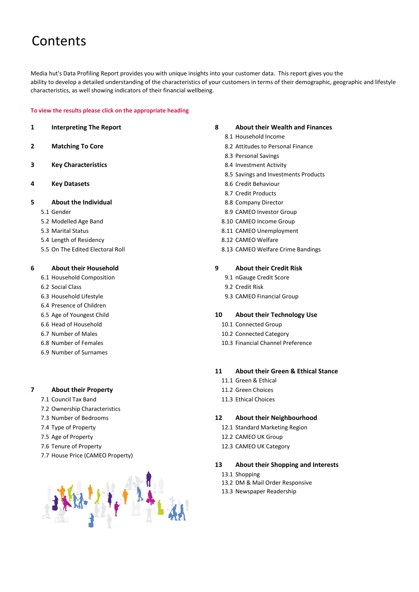### Contents

Media hut's Data Profiling Report provides you with unique insights into your customer data. This report gives you the ability to develop a detailed understanding of the characteristics of your customers in terms of their demographic, geographic and lifestyle characteristics, as well showing indicators of their financial wellbeing.

#### **To view the results please click on the appropriate heading**

- 
- 
- **3 Key Characteristics 8.4 Investment Activity**
- **4 Key Datasets** 8.6 Credit Behaviour
- **5 About the Individual** 8.8 Company Director
	-
	-
	-
	- 5.4 Length of Residency 8.12 CAMEO Welfare
	-

#### **6 About their Household 9 About their Credit Risk**

- 6.1 Household Composition 9.1 nGauge Credit Score
- 
- 
- 6.4 Presence of Children
- 
- 
- 
- 
- 6.9 Number of Surnames

#### **7 About their Property** 11.2 Green Choices

- 7.1 Council Tax Band 11.3 Ethical Choices
- 7.2 Ownership Characteristics
- 
- 
- 
- 
- 7.7 House Price (CAMEO Property)



#### **1 Interpreting The Report 8 About their Wealth and Finances**

- 8.1 Household Income
- **2 Matching To Core 8.2 Attitudes to Personal Finance** 
	- 8.3 Personal Savings
	-
	- 8.5 Savings and Investments Products
	-
	- 8.7 Credit Products
	-
	- 5.1 Gender 8.9 CAMEO Investor Group
	- 5.2 Modelled Age Band 8.10 CAMEO Income Group
	- 5.3 Marital Status 8.11 CAMEO Unemployment
		-
	- 5.5 On The Edited Electoral Roll 8.13 CAMEO Welfare Crime Bandings

- 
- 6.2 Social Class 9.2 Credit Risk
- 6.3 Household Lifestyle 9.3 CAMEO Financial Group

#### 6.5 Age of Youngest Child **10 About their Technology Use**

- 6.6 Head of Household 10.1 Connected Group
- 6.7 Number of Males 10.2 Connected Category
- 6.8 Number of Females 10.3 Financial Channel Preference

#### **11 About their Green & Ethical Stance**

- 11.1 Green & Ethical
- 
- 

#### 7.3 Number of Bedrooms **12 About their Neighbourhood**

- 7.4 Type of Property 12.1 Standard Marketing Region
- 7.5 Age of Property 12.2 CAMEO UK Group
- 7.6 Tenure of Property 12.3 CAMEO UK Category

#### **13 About their Shopping and Interests**

- 13.1 Shopping
- 13.2 DM & Mail Order Responsive
- 13.3 Newspaper Readership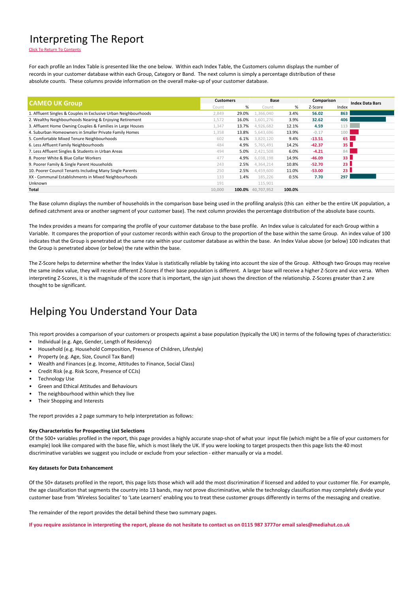#### Interpreting The Report

Click To Return To Contents

For each profile an Index Table is presented like the one below. Within each Index Table, the Customers column displays the number of records in your customer database within each Group, Category or Band. The next column is simply a percentage distribution of these absolute counts. These columns provide information on the overall make-up of your customer database.

| <b>CAMEO UK Group</b>                                           | <b>Customers</b> |        | Base       |        | Comparison |                 | <b>Index Data Bars</b> |
|-----------------------------------------------------------------|------------------|--------|------------|--------|------------|-----------------|------------------------|
|                                                                 | Count            | %      | Count      | %      | Z-Score    | Index           |                        |
| 1. Affluent Singles & Couples in Exclusive Urban Neighbourhoods | 2,849            | 29.0%  | 1.366.040  | 3.4%   | 56.02      | 863             |                        |
| 2. Wealthy Neighbourhoods Nearing & Enjoying Retirement         | 1,572            | 16.0%  | 1,601,276  | 3.9%   | 32.62      | 406             |                        |
| 3. Affluent Home Owning Couples & Families in Large Houses      | 1,347            | 13.7%  | 4,926,682  | 12.1%  | 4.59       | 113             |                        |
| 4. Suburban Homeowners in Smaller Private Family Homes          | 1,358            | 13.8%  | 5,643,696  | 13.9%  | $-0.17$    | 100             |                        |
| 5. Comfortable Mixed Tenure Neighbourhoods                      | 602              | 6.1%   | 3,820,120  | 9.4%   | $-13.51$   | 65              |                        |
| 6. Less Affluent Family Neighbourhoods                          | 484              | 4.9%   | 5.765.491  | 14.2%  | $-42.37$   | 35              |                        |
| 7. Less Affluent Singles & Students in Urban Areas              | 494              | 5.0%   | 2,421,508  | 6.0%   | $-4.21$    | 84              |                        |
| 8. Poorer White & Blue Collar Workers                           | 477              | 4.9%   | 6,038,198  | 14.9%  | $-46.09$   | 33 <sub>1</sub> |                        |
| 9. Poorer Family & Single Parent Households                     | 243              | 2.5%   | 4,364,214  | 10.8%  | $-52.70$   | 23 <sup>1</sup> |                        |
| 10. Poorer Council Tenants Including Many Single Parents        | 250              | 2.5%   | 4,459,600  | 11.0%  | $-53.00$   | 23 <sub>1</sub> |                        |
| XX - Communal Establishments in Mixed Neighbourhoods            | 133              | 1.4%   | 185,226    | 0.5%   | 7.70       | 297             |                        |
| Unknown                                                         | 191              |        | 115,901    |        |            |                 |                        |
| Total                                                           | 10.000           | 100.0% | 40.707.952 | 100.0% |            |                 |                        |

The Base column displays the number of households in the comparison base being used in the profiling analysis (this can either be the entire UK population, a defined catchment area or another segment of your customer base). The next column provides the percentage distribution of the absolute base counts.

The Index provides a means for comparing the profile of your customer database to the base profile. An Index value is calculated for each Group within a Variable. It compares the proportion of your customer records within each Group to the proportion of the base within the same Group. An index value of 100 indicates that the Group is penetrated at the same rate within your customer database as within the base. An Index Value above (or below) 100 indicates that the Group is penetrated above (or below) the rate within the base.

The Z-Score helps to determine whether the Index Value is statistically reliable by taking into account the size of the Group. Although two Groups may receive the same index value, they will receive different Z-Scores if their base population is different. A larger base will receive a higher Z-Score and vice versa. When interpreting Z-Scores, it is the magnitude of the score that is important, the sign just shows the direction of the relationship. Z-Scores greater than 2 are thought to be significant.

#### Helping You Understand Your Data

This report provides a comparison of your customers or prospects against a base population (typically the UK) in terms of the following types of characteristics:

- Individual (e.g. Age, Gender, Length of Residency)
- Household (e.g. Household Composition, Presence of Children, Lifestyle)
- Property (e.g. Age, Size, Council Tax Band)
- Wealth and Finances (e.g. Income, Attitudes to Finance, Social Class)
- Credit Risk (e.g. Risk Score, Presence of CCJs)
- **Technology Use**
- Green and Ethical Attitudes and Behaviours
- The neighbourhood within which they live
- Their Shopping and Interests

The report provides a 2 page summary to help interpretation as follows:

#### **Key Characteristics for Prospecting List Selections**

Of the 500+ variables profiled in the report, this page provides a highly accurate snap-shot of what your input file (which might be a file of your customers for example) look like compared with the base file, which is most likely the UK. If you were looking to target prospects then this page lists the 40 most discriminative variables we suggest you include or exclude from your selection - either manually or via a model.

#### **Key datasets for Data Enhancement**

Of the 50+ datasets profiled in the report, this page lists those which will add the most discrimination if licensed and added to your customer file. For example, the age classification that segments the country into 13 bands, may not prove discriminative, while the technology classification may completely divide your customer base from 'Wireless Socialites' to 'Late Learners' enabling you to treat these customer groups differently in terms of the messaging and creative.

The remainder of the report provides the detail behind these two summary pages.

**If you require assistance in interpreting the report, please do not hesitate to contact us on 0115 987 3777or email sales@mediahut.co.uk**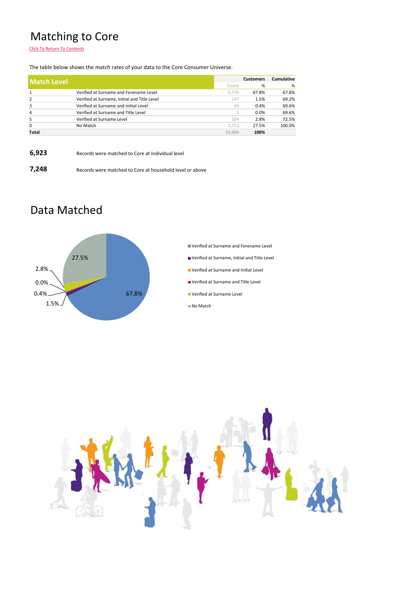### Matching to Core

Click To Return To Contents

The table below shows the match rates of your data to the Core Consumer Universe.

| <b>Match Level</b> |                                              |        | <b>Customers</b> | <b>Cumulative</b> |
|--------------------|----------------------------------------------|--------|------------------|-------------------|
|                    |                                              | Count  | %                | %                 |
| 1                  | Verified at Surname and Forename Level       | 6.776  | 67.8%            | 67.8%             |
| $\overline{2}$     | Verified at Surname, Initial and Title Level | 147    | 1.5%             | 69.2%             |
| 3                  | Verified at Surname and Initial Level        | 40     | 0.4%             | 69.6%             |
| $\overline{4}$     | Verified at Surname and Title Level          |        | 0.0%             | 69.6%             |
| 5                  | Verified at Surname Level                    | 284    | 2.8%             | 72.5%             |
| $\mathbf 0$        | No Match                                     | 2.752  | 27.5%            | 100.0%            |
| <b>Total</b>       |                                              | 10,000 | 100%             |                   |

| 6,923 | Records were matched to Core at individual level         |
|-------|----------------------------------------------------------|
| 7,248 | Records were matched to Core at household level or above |

#### Data Matched



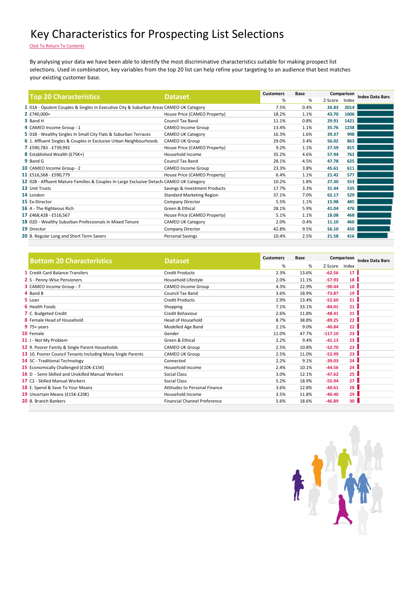#### Key Characteristics for Prospecting List Selections

Click To Return To Contents

By analysing your data we have been able to identify the most discriminative characteristics suitable for making prospect list selections. Used in combination, key variables from the top 20 list can help refine your targeting to an audience that best matches your existing customer base.

| <b>Top 20 Characteristics</b>                                                           | <b>Dataset</b>                   | <b>Customers</b> | Base |         | Comparison | <b>Index Data Bars</b> |
|-----------------------------------------------------------------------------------------|----------------------------------|------------------|------|---------|------------|------------------------|
|                                                                                         |                                  | %                | %    | Z-Score | Index      |                        |
| 1 01A - Opulent Couples & Singles In Executive City & Suburban Areas CAMEO UK Category  |                                  | 7.5%             | 0.4% | 26.83   | 2014       |                        |
| 2 £740,000+                                                                             | House Price (CAMEO Property)     | 18.2%            | 1.1% | 43.70   | 1606       |                        |
| 3 Band H                                                                                | <b>Council Tax Band</b>          | 11.1%            | 0.8% | 29.91   | 1421       |                        |
| 4 CAMEO Income Group - 1                                                                | <b>CAMEO Income Group</b>        | 13.4%            | 1.1% | 35.76   | 1238       |                        |
| 5 01B - Wealthy Singles In Small City Flats & Suburban Terraces                         | <b>CAMEO UK Category</b>         | 16.3%            | 1.6% | 39.37   | 998        |                        |
| 6 1. Affluent Singles & Couples in Exclusive Urban Neighbourhoods                       | <b>CAMEO UK Group</b>            | 29.0%            | 3.4% | 56.02   | 863        |                        |
| 7 £590,783 - £739,992                                                                   | House Price (CAMEO Property)     | 9.2%             | 1.1% | 27.59   | 815        |                        |
| 8 Established Wealth (£75K+)                                                            | Household Income                 | 35.2%            | 4.6% | 57.94   | 762        |                        |
| 9 Band G                                                                                | <b>Council Tax Band</b>          | 28.1%            | 4.5% | 47.78   | 625        |                        |
| 10 CAMEO Income Group - 2                                                               | <b>CAMEO Income Group</b>        | 23.3%            | 3.8% | 45.61   | 611        |                        |
| 11 £516,568 - £590,779                                                                  | House Price (CAMEO Property)     | 6.4%             | 1.1% | 21.42   | 577        |                        |
| 12 02B - Affluent Mature Families & Couples In Large Exclusive Detach CAMEO UK Category |                                  | 10.2%            | 1.8% | 27.30   | 553        |                        |
| 13 Unit Trusts                                                                          | Savings & Investment Products    | 17.7%            | 3.3% | 31.44   | 535        |                        |
| 14 London                                                                               | <b>Standard Marketing Region</b> | 37.1%            | 7.0% | 62.17   | 529        |                        |
| 15 Ex-Director                                                                          | Company Director                 | 5.5%             | 1.1% | 15.98   | 485        |                        |
| 16 A - The Righteous Rich                                                               | Green & Ethical                  | 28.1%            | 5.9% | 41.04   | 476        |                        |
| 17 £468,428 - £516,567                                                                  | House Price (CAMEO Property)     | 5.1%             | 1.1% | 18.08   | 468        |                        |
| 18 02D - Wealthy Suburban Professionals In Mixed Tenure                                 | <b>CAMEO UK Category</b>         | 2.0%             | 0.4% | 11.10   | 460        |                        |
| 19 Director                                                                             | Company Director                 | 42.8%            | 9.5% | 56.10   | 450        |                        |
| 20 B. Regular Long and Short Term Savers                                                | <b>Personal Savings</b>          | 10.4%            | 2.5% | 21.58   | 416        |                        |
|                                                                                         |                                  |                  |      |         |            |                        |

| <b>Bottom 20 Characteristics</b>                            | <b>Customers</b><br><b>Dataset</b>  |       | Base  |           | Comparison      | <b>Index Data Bars</b> |
|-------------------------------------------------------------|-------------------------------------|-------|-------|-----------|-----------------|------------------------|
|                                                             |                                     | %     | %     | Z-Score   | Index           |                        |
| 1 Credit Card Balance Transfers                             | <b>Credit Products</b>              | 2.3%  | 13.6% | $-62.56$  | 17 <sup>1</sup> |                        |
| 2 S - Penny-Wise Pensioners                                 | Household Lifestyle                 | 2.0%  | 11.1% | $-57.93$  | 18 <sup>1</sup> |                        |
| 3 CAMEO Income Group - 7                                    | <b>CAMEO Income Group</b>           | 4.3%  | 22.9% | $-90.44$  | 18 <sup>1</sup> |                        |
| 4 Band B                                                    | <b>Council Tax Band</b>             | 3.6%  | 18.9% | $-73.87$  | 19              |                        |
| 5 Loan                                                      | <b>Credit Products</b>              | 2.9%  | 13.4% | $-52.60$  | 21              |                        |
| <b>6</b> Health Foods                                       | Shopping                            | 7.1%  | 33.1% | $-84.01$  | 21 <sup>1</sup> |                        |
| 7 C. Budgeted Credit                                        | Credit Behaviour                    | 2.6%  | 11.8% | $-48.41$  | $21 \vert$      |                        |
| <b>8</b> Female Head of Household                           | Head of Household                   | 8.7%  | 38.8% | $-89.25$  | 22 <sub>1</sub> |                        |
| $9$ 75+ years                                               | Modelled Age Band                   | 2.1%  | 9.0%  | $-40.84$  | 22 <sub>1</sub> |                        |
| 10 Female                                                   | Gender                              | 11.0% | 47.7% | $-117.10$ | 23 <sup>1</sup> |                        |
| 11 J - Not My Problem                                       | Green & Ethical                     | 2.2%  | 9.4%  | $-41.13$  | 23 <sup>1</sup> |                        |
| 12 9. Poorer Family & Single Parent Households              | CAMEO UK Group                      | 2.5%  | 10.8% | $-52.70$  | 23              |                        |
| 13 10. Poorer Council Tenants Including Many Single Parents | <b>CAMEO UK Group</b>               | 2.5%  | 11.0% | $-52.99$  | 23 <sup>1</sup> |                        |
| 14 5C - Traditional Technology                              | Connected                           | 2.2%  | 9.1%  | $-39.03$  | 24              |                        |
| 15 Economically Challenged (£10K-£15K)                      | Household Income                    | 2.4%  | 10.1% | $-44.56$  | 24              |                        |
| 16 D - Semi-Skilled and Unskilled Manual Workers            | Social Class                        | 3.0%  | 12.1% | $-47.62$  | 25 <sub>1</sub> |                        |
| 17 C2 - Skilled Manual Workers                              | Social Class                        | 5.2%  | 18.9% | $-55.94$  | 27 <sup>1</sup> |                        |
| 18 E. Spend & Save To Your Means                            | Attitudes to Personal Finance       | 3.6%  | 12.8% | $-40.61$  | 28 <sup>1</sup> |                        |
| 19 Uncertain Means (£15K-£20K)                              | Household Income                    | 3.5%  | 11.8% | $-40.40$  | 29 <sup>1</sup> |                        |
| 20 B. Branch Bankers                                        | <b>Financial Channel Preference</b> | 5.6%  | 18.6% | $-46.89$  | 30 <sub>1</sub> |                        |
|                                                             |                                     |       |       |           |                 |                        |

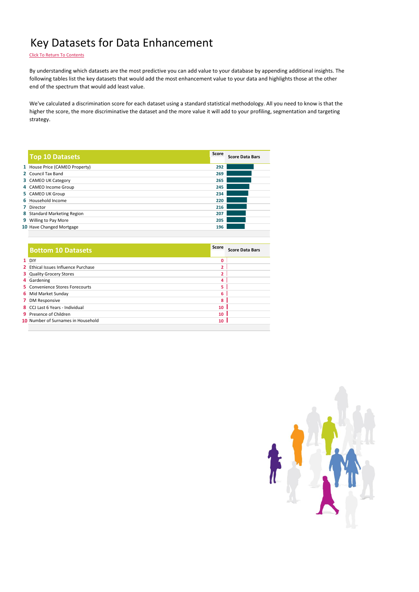#### Key Datasets for Data Enhancement

Click To Return To Contents

By understanding which datasets are the most predictive you can add value to your database by appending additional insights. The following tables list the key datasets that would add the most enhancement value to your data and highlights those at the other end of the spectrum that would add least value.

We've calculated a discrimination score for each dataset using a standard statistical methodology. All you need to know is that the higher the score, the more discriminative the dataset and the more value it will add to your profiling, segmentation and targeting strategy.

| <b>Top 10 Datasets</b>         | Score | <b>Score Data Bars</b> |
|--------------------------------|-------|------------------------|
| 1 House Price (CAMEO Property) | 292   |                        |
| 2 Council Tax Band             | 269   |                        |
| 3 CAMEO UK Category            | 265   |                        |
| 4 CAMEO Income Group           | 245   |                        |
| 5 CAMEO UK Group               | 234   |                        |
| 6 Household Income             | 220   |                        |
| 7 Director                     | 216   |                        |
| 8 Standard Marketing Region    | 207   |                        |
| 9 Willing to Pay More          | 205   |                        |
| 10 Have Changed Mortgage       | 196   |                        |
|                                |       |                        |

| <b>Bottom 10 Datasets</b>                  | Score       | <b>Score Data Bars</b> |
|--------------------------------------------|-------------|------------------------|
| $1$ DIY                                    | $\mathbf 0$ |                        |
| <b>2</b> Ethical Issues Influence Purchase | 2           |                        |
| <b>3</b> Quality Grocery Stores            | 2           |                        |
| 4 Gardening                                | 4           |                        |
| 5 Convenience Stores Forecourts            | 5           |                        |
| <b>6</b> Mid Market Sunday                 | 6           |                        |
| 7 DM Responsive                            | 8           |                        |
| 8 CCJ Last 6 Years - Individual            | 10          |                        |
| <b>9</b> Presence of Children              | 10          |                        |
| 10 Number of Surnames in Household         | 10          |                        |
|                                            |             |                        |

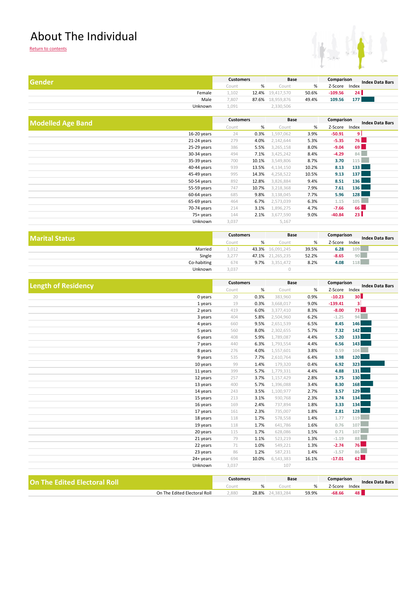#### About The Individual



| Gender  |       | <b>Customers</b> |            | Base  |           | Comparison<br><b>Index Data Bars</b> |
|---------|-------|------------------|------------|-------|-----------|--------------------------------------|
|         | Count | %                | Count      | %     | Z-Score   | Index                                |
| Female  | 1.102 | 12.4%            | 19.417.570 | 50.6% | $-109.56$ | 24 <sup>1</sup>                      |
| Male    | .807  | 87.6%            | 18,959,876 | 49.4% | 109.56    | 1771                                 |
| Unknown | 1.091 |                  | 2,330,506  |       |           |                                      |
|         |       |                  |            |       |           |                                      |

| <b>Modelled Age Band</b> |               | <b>Customers</b> |       | Base      |       | Comparison |                  | <b>Index Data Bars</b> |
|--------------------------|---------------|------------------|-------|-----------|-------|------------|------------------|------------------------|
|                          |               | Count            | %     | Count     | %     | Z-Score    | Index            |                        |
|                          | 16-20 years   | 24               | 0.3%  | 1,597,062 | 3.9%  | $-50.91$   | ا و              |                        |
|                          | 21-24 years   | 279              | 4.0%  | 2,142,644 | 5.3%  | $-5.35$    | <b>76</b>        |                        |
|                          | 25-29 years   | 386              | 5.5%  | 3,265,158 | 8.0%  | $-9.04$    | 69 <b>1</b>      |                        |
|                          | 30-34 years   | 494              | 7.1%  | 3,425,242 | 8.4%  | $-4.29$    | 84               |                        |
|                          | 35-39 years   | 700              | 10.1% | 3,549,806 | 8.7%  | 3.70       | 115              |                        |
|                          | 40-44 years   | 939              | 13.5% | 4,134,150 | 10.2% | 8.13       | 133              |                        |
|                          | 45-49 years   | 995              | 14.3% | 4,258,522 | 10.5% | 9.13       | 137              |                        |
|                          | 50-54 years   | 892              | 12.8% | 3,826,884 | 9.4%  | 8.51       | 136              |                        |
|                          | 55-59 years   | 747              | 10.7% | 3,218,368 | 7.9%  | 7.61       | 136 <sup>h</sup> |                        |
|                          | $60-64$ years | 685              | 9.8%  | 3,138,045 | 7.7%  | 5.96       | 128              |                        |
|                          | 65-69 years   | 464              | 6.7%  | 2,573,039 | 6.3%  | 1.15       | 105              |                        |
|                          | 70-74 years   | 214              | 3.1%  | 1,896,275 | 4.7%  | $-7.66$    | 66               |                        |
|                          | 75+ years     | 144              | 2.1%  | 3,677,590 | 9.0%  | $-40.84$   | 23 <sup>1</sup>  |                        |
|                          | Unknown       | 3,037            |       | 5,167     |       |            |                  |                        |

| <b>Marital Status</b> |       | <b>Customers</b> | Base       |       | Comparison |              | <b>Index Data Bars</b> |
|-----------------------|-------|------------------|------------|-------|------------|--------------|------------------------|
|                       | Count | %                | Count      | %     | Z-Score    | Index<br>109 |                        |
| Married               | 3,012 | 43.3%            | 16,091,245 | 39.5% | 6.28       |              |                        |
| Single                | 3,277 | 47.1%            | 21,265,235 | 52.2% | $-8.65$    | 90           |                        |
| Co-habiting           | 674   | 9.7%             | 3.351.472  | 8.2%  | 4.08       | 118          |                        |
| Unknown               | 3,037 |                  |            |       |            |              |                        |

| $\%$<br>Index<br>Count<br>%<br>Z-Score<br>Count<br>30 <sup>1</sup><br>20<br>0.9%<br>$-10.23$<br>0.3%<br>383,960<br>0 years<br>$\vert$<br>$-139.41$<br>19<br>3,668,017<br>9.0%<br>1 years<br>0.3%<br>73<br>419<br>8.3%<br>6.0%<br>3,377,410<br>$-8.00$<br>2 years<br>94<br>404<br>5.8%<br>6.2%<br>3 years<br>2,504,960<br>$-1.25$<br>146<br>660<br>9.5%<br>2,651,539<br>6.5%<br>8.45<br>4 years<br>142<br>7.32<br>5 years<br>560<br>8.0%<br>2,302,655<br>5.7%<br>133<br>408<br>1,789,087<br>5.20<br>6 years<br>5.9%<br>4.4%<br>143<br>6.3%<br>6.56<br>440<br>1,793,554<br>4.4%<br>7 years<br>104<br>4.0%<br>3.8%<br>8 years<br>276<br>1,557,601<br>0.59<br><b>120</b><br>535<br>7.7%<br>6.4%<br>3.98<br>9 years<br>2,610,764<br>323<br>99<br>6.92<br>1.4%<br>179,320<br>0.4%<br>10 years<br>131<br>399<br>4.4%<br>4.88<br>11 years<br>5.7%<br>1,779,331<br>130 <sup>1</sup><br>3.75<br>257<br>3.7%<br>1,157,429<br>2.8%<br>12 years<br><b>168</b><br>400<br>8.30<br>5.7%<br>1,396,088<br>3.4%<br>13 years<br>129<br>1,100,977<br>3.57<br>14 years<br>243<br>3.5%<br>2.7%<br>134<br>3.74<br>213<br>3.1%<br>930,768<br>2.3%<br>15 years<br>134<br>1.8%<br>3.33<br>169<br>2.4%<br>737,894<br>16 years<br><b>128</b><br>161<br>1.8%<br>2.81<br>17 years<br>2.3%<br>735,007<br>119<br>118<br>578,558<br>1.4%<br>1.77<br>18 years<br>1.7%<br>107<br>118<br>1.6%<br>19 years<br>1.7%<br>641,786<br>0.76<br>107<br>115<br>1.7%<br>628,086<br>1.5%<br>0.71<br>20 years<br>88<br>79<br>1.3%<br>1.1%<br>523,219<br>$-1.19$<br>21 years<br>76<br>71<br>549,221<br>22 years<br>1.0%<br>1.3%<br>$-2.74$<br>86<br>86<br>1.2%<br>23 years<br>587,231<br>1.4%<br>$-1.57$<br>62<br>694<br>24+ years<br>10.0%<br>6,543,383<br>16.1%<br>$-17.01$<br>107<br>Unknown<br>3,037 | <b>Length of Residency</b> | <b>Customers</b> |  | Base |  | Comparison | <b>Index Data Bars</b> |  |
|--------------------------------------------------------------------------------------------------------------------------------------------------------------------------------------------------------------------------------------------------------------------------------------------------------------------------------------------------------------------------------------------------------------------------------------------------------------------------------------------------------------------------------------------------------------------------------------------------------------------------------------------------------------------------------------------------------------------------------------------------------------------------------------------------------------------------------------------------------------------------------------------------------------------------------------------------------------------------------------------------------------------------------------------------------------------------------------------------------------------------------------------------------------------------------------------------------------------------------------------------------------------------------------------------------------------------------------------------------------------------------------------------------------------------------------------------------------------------------------------------------------------------------------------------------------------------------------------------------------------------------------------------------------------------------------------------------------------------------------------------------|----------------------------|------------------|--|------|--|------------|------------------------|--|
|                                                                                                                                                                                                                                                                                                                                                                                                                                                                                                                                                                                                                                                                                                                                                                                                                                                                                                                                                                                                                                                                                                                                                                                                                                                                                                                                                                                                                                                                                                                                                                                                                                                                                                                                                        |                            |                  |  |      |  |            |                        |  |
|                                                                                                                                                                                                                                                                                                                                                                                                                                                                                                                                                                                                                                                                                                                                                                                                                                                                                                                                                                                                                                                                                                                                                                                                                                                                                                                                                                                                                                                                                                                                                                                                                                                                                                                                                        |                            |                  |  |      |  |            |                        |  |
|                                                                                                                                                                                                                                                                                                                                                                                                                                                                                                                                                                                                                                                                                                                                                                                                                                                                                                                                                                                                                                                                                                                                                                                                                                                                                                                                                                                                                                                                                                                                                                                                                                                                                                                                                        |                            |                  |  |      |  |            |                        |  |
|                                                                                                                                                                                                                                                                                                                                                                                                                                                                                                                                                                                                                                                                                                                                                                                                                                                                                                                                                                                                                                                                                                                                                                                                                                                                                                                                                                                                                                                                                                                                                                                                                                                                                                                                                        |                            |                  |  |      |  |            |                        |  |
|                                                                                                                                                                                                                                                                                                                                                                                                                                                                                                                                                                                                                                                                                                                                                                                                                                                                                                                                                                                                                                                                                                                                                                                                                                                                                                                                                                                                                                                                                                                                                                                                                                                                                                                                                        |                            |                  |  |      |  |            |                        |  |
|                                                                                                                                                                                                                                                                                                                                                                                                                                                                                                                                                                                                                                                                                                                                                                                                                                                                                                                                                                                                                                                                                                                                                                                                                                                                                                                                                                                                                                                                                                                                                                                                                                                                                                                                                        |                            |                  |  |      |  |            |                        |  |
|                                                                                                                                                                                                                                                                                                                                                                                                                                                                                                                                                                                                                                                                                                                                                                                                                                                                                                                                                                                                                                                                                                                                                                                                                                                                                                                                                                                                                                                                                                                                                                                                                                                                                                                                                        |                            |                  |  |      |  |            |                        |  |
|                                                                                                                                                                                                                                                                                                                                                                                                                                                                                                                                                                                                                                                                                                                                                                                                                                                                                                                                                                                                                                                                                                                                                                                                                                                                                                                                                                                                                                                                                                                                                                                                                                                                                                                                                        |                            |                  |  |      |  |            |                        |  |
|                                                                                                                                                                                                                                                                                                                                                                                                                                                                                                                                                                                                                                                                                                                                                                                                                                                                                                                                                                                                                                                                                                                                                                                                                                                                                                                                                                                                                                                                                                                                                                                                                                                                                                                                                        |                            |                  |  |      |  |            |                        |  |
|                                                                                                                                                                                                                                                                                                                                                                                                                                                                                                                                                                                                                                                                                                                                                                                                                                                                                                                                                                                                                                                                                                                                                                                                                                                                                                                                                                                                                                                                                                                                                                                                                                                                                                                                                        |                            |                  |  |      |  |            |                        |  |
|                                                                                                                                                                                                                                                                                                                                                                                                                                                                                                                                                                                                                                                                                                                                                                                                                                                                                                                                                                                                                                                                                                                                                                                                                                                                                                                                                                                                                                                                                                                                                                                                                                                                                                                                                        |                            |                  |  |      |  |            |                        |  |
|                                                                                                                                                                                                                                                                                                                                                                                                                                                                                                                                                                                                                                                                                                                                                                                                                                                                                                                                                                                                                                                                                                                                                                                                                                                                                                                                                                                                                                                                                                                                                                                                                                                                                                                                                        |                            |                  |  |      |  |            |                        |  |
|                                                                                                                                                                                                                                                                                                                                                                                                                                                                                                                                                                                                                                                                                                                                                                                                                                                                                                                                                                                                                                                                                                                                                                                                                                                                                                                                                                                                                                                                                                                                                                                                                                                                                                                                                        |                            |                  |  |      |  |            |                        |  |
|                                                                                                                                                                                                                                                                                                                                                                                                                                                                                                                                                                                                                                                                                                                                                                                                                                                                                                                                                                                                                                                                                                                                                                                                                                                                                                                                                                                                                                                                                                                                                                                                                                                                                                                                                        |                            |                  |  |      |  |            |                        |  |
|                                                                                                                                                                                                                                                                                                                                                                                                                                                                                                                                                                                                                                                                                                                                                                                                                                                                                                                                                                                                                                                                                                                                                                                                                                                                                                                                                                                                                                                                                                                                                                                                                                                                                                                                                        |                            |                  |  |      |  |            |                        |  |
|                                                                                                                                                                                                                                                                                                                                                                                                                                                                                                                                                                                                                                                                                                                                                                                                                                                                                                                                                                                                                                                                                                                                                                                                                                                                                                                                                                                                                                                                                                                                                                                                                                                                                                                                                        |                            |                  |  |      |  |            |                        |  |
|                                                                                                                                                                                                                                                                                                                                                                                                                                                                                                                                                                                                                                                                                                                                                                                                                                                                                                                                                                                                                                                                                                                                                                                                                                                                                                                                                                                                                                                                                                                                                                                                                                                                                                                                                        |                            |                  |  |      |  |            |                        |  |
|                                                                                                                                                                                                                                                                                                                                                                                                                                                                                                                                                                                                                                                                                                                                                                                                                                                                                                                                                                                                                                                                                                                                                                                                                                                                                                                                                                                                                                                                                                                                                                                                                                                                                                                                                        |                            |                  |  |      |  |            |                        |  |
|                                                                                                                                                                                                                                                                                                                                                                                                                                                                                                                                                                                                                                                                                                                                                                                                                                                                                                                                                                                                                                                                                                                                                                                                                                                                                                                                                                                                                                                                                                                                                                                                                                                                                                                                                        |                            |                  |  |      |  |            |                        |  |
|                                                                                                                                                                                                                                                                                                                                                                                                                                                                                                                                                                                                                                                                                                                                                                                                                                                                                                                                                                                                                                                                                                                                                                                                                                                                                                                                                                                                                                                                                                                                                                                                                                                                                                                                                        |                            |                  |  |      |  |            |                        |  |
|                                                                                                                                                                                                                                                                                                                                                                                                                                                                                                                                                                                                                                                                                                                                                                                                                                                                                                                                                                                                                                                                                                                                                                                                                                                                                                                                                                                                                                                                                                                                                                                                                                                                                                                                                        |                            |                  |  |      |  |            |                        |  |
|                                                                                                                                                                                                                                                                                                                                                                                                                                                                                                                                                                                                                                                                                                                                                                                                                                                                                                                                                                                                                                                                                                                                                                                                                                                                                                                                                                                                                                                                                                                                                                                                                                                                                                                                                        |                            |                  |  |      |  |            |                        |  |
|                                                                                                                                                                                                                                                                                                                                                                                                                                                                                                                                                                                                                                                                                                                                                                                                                                                                                                                                                                                                                                                                                                                                                                                                                                                                                                                                                                                                                                                                                                                                                                                                                                                                                                                                                        |                            |                  |  |      |  |            |                        |  |
|                                                                                                                                                                                                                                                                                                                                                                                                                                                                                                                                                                                                                                                                                                                                                                                                                                                                                                                                                                                                                                                                                                                                                                                                                                                                                                                                                                                                                                                                                                                                                                                                                                                                                                                                                        |                            |                  |  |      |  |            |                        |  |
|                                                                                                                                                                                                                                                                                                                                                                                                                                                                                                                                                                                                                                                                                                                                                                                                                                                                                                                                                                                                                                                                                                                                                                                                                                                                                                                                                                                                                                                                                                                                                                                                                                                                                                                                                        |                            |                  |  |      |  |            |                        |  |
|                                                                                                                                                                                                                                                                                                                                                                                                                                                                                                                                                                                                                                                                                                                                                                                                                                                                                                                                                                                                                                                                                                                                                                                                                                                                                                                                                                                                                                                                                                                                                                                                                                                                                                                                                        |                            |                  |  |      |  |            |                        |  |
|                                                                                                                                                                                                                                                                                                                                                                                                                                                                                                                                                                                                                                                                                                                                                                                                                                                                                                                                                                                                                                                                                                                                                                                                                                                                                                                                                                                                                                                                                                                                                                                                                                                                                                                                                        |                            |                  |  |      |  |            |                        |  |

| On The Edited Electoral Roll |                              | Customers |       | Base |       | Comparison |       | <b>Index Data Bars</b> |
|------------------------------|------------------------------|-----------|-------|------|-------|------------|-------|------------------------|
|                              |                              | Count:    |       | Coun |       | 7-Score    | Index |                        |
|                              | On The Edited Electoral Roll | .880      | 28.8% |      | 59.9% | -68.66     | 48    |                        |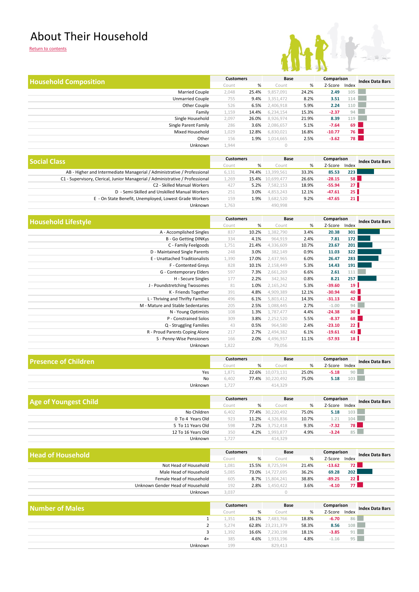#### About Their Household



| <b>Household Composition</b> | <b>Customers</b> |       | Base      |       | Comparison |       | <b>Index Data Bars</b> |  |
|------------------------------|------------------|-------|-----------|-------|------------|-------|------------------------|--|
|                              | Count            | %     | Count     | %     | Z-Score    | Index |                        |  |
| <b>Married Couple</b>        | 2,048            | 25.4% | 9,857,091 | 24.2% | 2.49       | 105   |                        |  |
| <b>Unmarried Couple</b>      | 755              | 9.4%  | 3,351,472 | 8.2%  | 3.51       | 114   |                        |  |
| Other Couple                 | 526              | 6.5%  | 2,406,918 | 5.9%  | 2.24       | 110   |                        |  |
| Family                       | 1,159            | 14.4% | 6,234,154 | 15.3% | $-2.37$    | 94    |                        |  |
| Single Household             | 2,097            | 26.0% | 8,926,974 | 21.9% | 8.39       | 119   |                        |  |
| Single Parent Family         | 286              | 3.6%  | 2,086,657 | 5.1%  | $-7.64$    | 69    |                        |  |
| Mixed Household              | 1,029            | 12.8% | 6,830,021 | 16.8% | $-10.77$   | 76    |                        |  |
| Other                        | 156              | 1.9%  | 1,014,665 | 2.5%  | $-3.62$    | 78 I  |                        |  |
| Unknown                      | 1,944            |       | $\circ$   |       |            |       |                        |  |

| Social Class                                                                  |       | <b>Customers</b> |            | Base  | Comparison |                 | <b>Index Data Bars</b> |
|-------------------------------------------------------------------------------|-------|------------------|------------|-------|------------|-----------------|------------------------|
|                                                                               |       | %                | Count      | %     | Z-Score    | Index           |                        |
| AB - Higher and Intermediate Managerial / Administrative / Professional       | 6,131 | 74.4%            | 13,399,561 | 33.3% | 85.53      | 223             |                        |
| C1 - Supervisory, Clerical, Junior Managerial / Administrative / Professional | .269  | 15.4%            | 10,699,477 | 26.6% | $-28.15$   | 58 <sup>1</sup> |                        |
| C2 - Skilled Manual Workers                                                   | 427   | 5.2%             | 7,582,153  | 18.9% | $-55.94$   | 27 <sup>1</sup> |                        |
| D - Semi-Skilled and Unskilled Manual Workers                                 | 251   | 3.0%             | 4,853,243  | 12.1% | $-47.61$   | 25 <sub>1</sub> |                        |
| E - On State Benefit, Unemployed, Lowest Grade Workers                        | 159   | 1.9%             | 3,682,520  | 9.2%  | $-47.65$   | 21 <sub>1</sub> |                        |
| Unknown                                                                       | 1.763 |                  | 490.998    |       |            |                 |                        |

| <b>Household Lifestyle</b>        | <b>Customers</b> |       | Base      |       | Comparison |             | <b>Index Data Bars</b> |
|-----------------------------------|------------------|-------|-----------|-------|------------|-------------|------------------------|
|                                   | Count            | %     | Count     | %     | Z-Score    | Index       |                        |
| A - Accomplished Singles          | 837              | 10.2% | 1,382,790 | 3.4%  | 20.38      | 301         |                        |
| <b>B</b> - Go Getting DINKys      | 334              | 4.1%  | 964,919   | 2.4%  | 7.81       | 172         |                        |
| C - Family Feelgoods              | 1,751            | 21.4% | 4,336,609 | 10.7% | 23.67      | 201         |                        |
| D - Maintained Single Parents     | 248              | 3.0%  | 382,149   | 0.9%  | 11.03      | 322         |                        |
| E - Unattached Traditionalists    | 1,390            | 17.0% | 2,437,965 | 6.0%  | 26.47      | 283         |                        |
| F - Contented Greys               | 828              | 10.1% | 2,158,449 | 5.3%  | 14.43      | 191         |                        |
| G - Contemporary Elders           | 597              | 7.3%  | 2,661,269 | 6.6%  | 2.61       | 111         |                        |
| H - Secure Singles                | 177              | 2.2%  | 342,362   | 0.8%  | 8.21       | 257         |                        |
| J - Poundstretching Twosomes      | 81               | 1.0%  | 2,165,242 | 5.3%  | $-39.60$   | 19          |                        |
| K - Friends Together              | 391              | 4.8%  | 4,909,389 | 12.1% | $-30.94$   | 40 <b> </b> |                        |
| L - Thriving and Thrifty Families | 496              | 6.1%  | 5,803,412 | 14.3% | $-31.13$   | 42          |                        |
| M - Mature and Stable Sedentaries | 205              | 2.5%  | 1,088,445 | 2.7%  | $-1.00$    | 94          |                        |
| N - Young Optimists               | 108              | 1.3%  | 1,787,477 | 4.4%  | $-24.38$   | 30          |                        |
| P - Constrained Solos             | 309              | 3.8%  | 2,252,520 | 5.5%  | $-8.37$    | 68          |                        |
| Q - Struggling Families           | 43               | 0.5%  | 964,580   | 2.4%  | $-23.10$   | 22          |                        |
| R - Proud Parents Coping Alone    | 217              | 2.7%  | 2,494,382 | 6.1%  | $-19.61$   | 43          |                        |
| S - Penny-Wise Pensioners         | 166              | 2.0%  | 4,496,937 | 11.1% | $-57.93$   | 18          |                        |
| Unknown                           | 1,822            |       | 79,056    |       |            |             |                        |

| <b>Presence of Children</b> | <b>Customers</b> |       | Base             |       | Comparison |                 | <b>Index Data Bars</b> |
|-----------------------------|------------------|-------|------------------|-------|------------|-----------------|------------------------|
|                             | Count            |       | Count            | %     | Z-Score    | Index           |                        |
| Yes                         | 871              | 22.6% | 10.073.131       | 25.0% | $-5.18$    | 90 <sub>h</sub> |                        |
| No                          | 6.402            |       | 77.4% 30.220.492 | 75.0% | 5.18       | 103             |                        |
| Unknown                     | 1.727            |       | 414,329          |       |            |                 |                        |

| <b>Age of Youngest Child</b> |                    | <b>Customers</b> |       | Base             |       | Comparison |       | <b>Index Data Bars</b> |
|------------------------------|--------------------|------------------|-------|------------------|-------|------------|-------|------------------------|
|                              |                    | Count            | %     | Count            | %     | Z-Score    | Index |                        |
|                              | No Children        | 6.402            |       | 77.4% 30.220.492 | 75.0% | 5.18       | 103   |                        |
|                              | 0 To 4 Years Old   | 923              | 11.2% | 4,326,836        | 10.7% | 1.21       | 104   |                        |
|                              | 5 To 11 Years Old  | 598              | 7.2%  | 3.752.418        | 9.3%  | $-7.32$    | 78 I  |                        |
|                              | 12 To 16 Years Old | 350              | 4.2%  | 1,993,877        | 4.9%  | $-3.24$    | 85    |                        |
|                              | Unknown            | 1.727            |       | 414,329          |       |            |       |                        |

| <b>Head of Household</b>         |       | <b>Customers</b> |                  | Base  | Comparison |                  | <b>Index Data Bars</b> |
|----------------------------------|-------|------------------|------------------|-------|------------|------------------|------------------------|
|                                  |       | %                | Count            | %     | Z-Score    | Index            |                        |
| Not Head of Household            | .081  | 15.5%            | 8.725.594        | 21.4% | $-13.62$   | 72 <sub>1</sub>  |                        |
| Male Head of Household           | 5.085 |                  | 73.0% 14.727.695 | 36.2% | 69.28      | 202 <sub>1</sub> |                        |
| Female Head of Household         | 605   |                  | 8.7% 15,804,241  | 38.8% | $-89.25$   | 22 <sub>1</sub>  |                        |
| Unknown Gender Head of Household | 192   | 2.8%             | 1.450.422        | 3.6%  | $-4.10$    | 77 I             |                        |
| <b>Unknown</b>                   | 3,037 |                  |                  |       |            |                  |                        |

| Number of Males |       | <b>Customers</b> |                  | Base  |         | Comparison | <b>Index Data Bars</b> |  |
|-----------------|-------|------------------|------------------|-------|---------|------------|------------------------|--|
|                 | Count | %                | Count            | %     | Z-Score | Index      |                        |  |
|                 | 1.351 | 16.1%            | 7,483,766        | 18.8% | $-6.70$ | 86         |                        |  |
|                 | 5.274 |                  | 62.8% 23,231,379 | 58.3% | 8.56    | 108        |                        |  |
|                 | .392  | 16.6%            | 7,230,198        | 18.1% | $-3.85$ | 91         |                        |  |
| $4+$            | 385   | 4.6%             | 1,933,196        | 4.8%  | $-1.16$ | 95         |                        |  |
| <b>Unknown</b>  | 199   |                  | 829,413          |       |         |            |                        |  |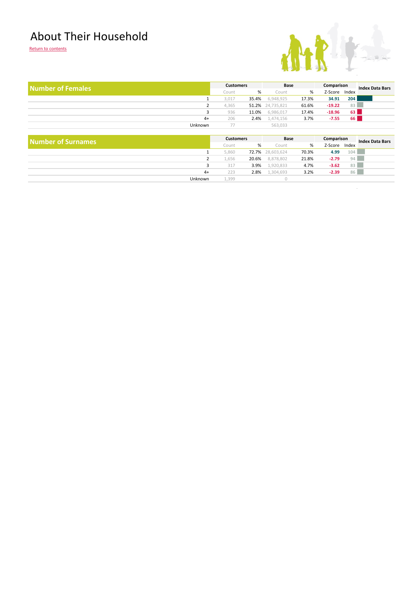#### About Their Household

Return to contents



 $\sim$ 

| <b>Number of Females</b>  |                         | <b>Customers</b> | Base       |       | Comparison |           | <b>Index Data Bars</b> |
|---------------------------|-------------------------|------------------|------------|-------|------------|-----------|------------------------|
|                           | Count                   | %                | Count      | %     | Z-Score    | Index     |                        |
|                           | 3,017                   | 35.4%            | 6,948,925  | 17.3% | 34.91      | 204       |                        |
|                           | $\overline{2}$<br>4,365 | 51.2%            | 24,735,821 | 61.6% | $-19.22$   | 83        |                        |
|                           | 3<br>936                | 11.0%            | 6,986,017  | 17.4% | $-18.96$   | 63        |                        |
|                           | $4+$<br>206             | 2.4%             | 1,474,156  | 3.7%  | $-7.55$    | <b>66</b> |                        |
| Unknown                   | 77                      |                  | 563,033    |       |            |           |                        |
|                           |                         |                  |            |       |            |           |                        |
| <b>Number of Surnames</b> |                         | <b>Customers</b> | Base       |       | Comparison |           | <b>Index Data Bars</b> |
|                           | Count                   | %                | Count      | %     | Z-Score    | Index     |                        |
|                           | 5,860                   | 72.7%            | 28,603,624 | 70.3% | 4.99       | 104       |                        |
|                           | $\overline{2}$<br>1,656 | 20.6%            | 8,878,802  | 21.8% | $-2.79$    | 94        |                        |
|                           | 3<br>317                | 3.9%             | 1,920,833  | 4.7%  | $-3.62$    | 83        |                        |
|                           | $4+$<br>223             | 2.8%             | 1,304,693  | 3.2%  | $-2.39$    | 86        |                        |
| Unknown                   |                         | 1,399            |            |       |            |           |                        |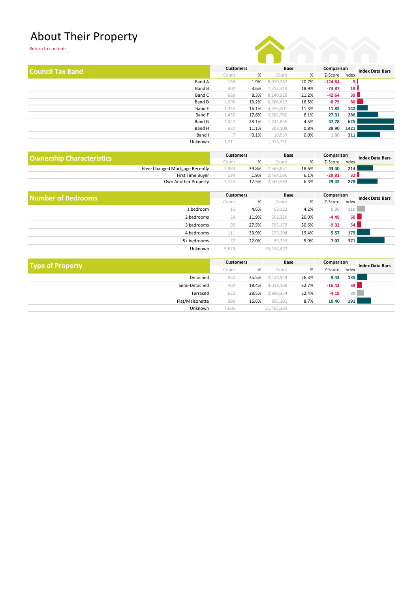### About Their Property

|                |       |       |                  |       |           |       | <b>Index Data Bars</b>                                                               |
|----------------|-------|-------|------------------|-------|-----------|-------|--------------------------------------------------------------------------------------|
|                | Count | %     | Count            | %     | Z-Score   | Index |                                                                                      |
| Band A         | 158   | 1.9%  | 8,019,787        | 20.7% | $-124.84$ |       |                                                                                      |
| Band B         | 302   | 3.6%  | 7,313,419        | 18.9% | $-73.87$  |       |                                                                                      |
| Band C         | 689   | 8.3%  | 8,240,928        | 21.2% | $-42.64$  |       |                                                                                      |
| Band D         | 1,095 | 13.2% | 6,386,627        | 16.5% | $-8.75$   |       |                                                                                      |
| Band E         | 1,336 | 16.1% | 4,395,201        | 11.3% | 11.85     |       |                                                                                      |
| Band F         | 1,455 | 17.6% | 2,381,780        | 6.1%  | 27.31     |       |                                                                                      |
| Band G         | 2,327 | 28.1% | 1,741,855        | 4.5%  | 47.78     |       |                                                                                      |
| Band H         | 920   | 11.1% | 303,108          | 0.8%  | 29.90     |       |                                                                                      |
| Band I         | 7     | 0.1%  | 10,537           | 0.0%  | 1.80      |       |                                                                                      |
| <b>Unknown</b> | 1,711 |       | 1,914,710        |       |           |       |                                                                                      |
|                |       |       | <b>Customers</b> |       | Base      |       | Comparison<br>9 I<br>19 <sup>1</sup><br>39<br>80<br>142<br>286<br>625<br>1421<br>311 |

| <b>Ownership Characteristics</b> |                                | <b>Customers</b> |       | Base      |       | Comparison |       | <b>Index Data Bars</b> |
|----------------------------------|--------------------------------|------------------|-------|-----------|-------|------------|-------|------------------------|
|                                  |                                | Count            | %     | Count     | %     | Z-Score    | Index |                        |
|                                  | Have Changed Mortgage Recently | 3,983            | 39.8% | ,563,851  | 18.6% | 43.40      | 214   |                        |
|                                  | <b>First Time Buver</b>        | 194              | 1.9%  | 2,464,086 | 6.1%  | $-29.81$   | 32 h  |                        |
|                                  | Own Another Property           |                  | 17.5% | 2.560.582 | 6.3%  | 29.42      | 278   |                        |

| Number of Bedrooms |             | <b>Customers</b> |       | Base       |       | Comparison |       | <b>Index Data Bars</b> |
|--------------------|-------------|------------------|-------|------------|-------|------------|-------|------------------------|
|                    |             | Count            | %     | Count      | %     | Z-Score    | Index |                        |
|                    | 1 bedroom   | 15               | 4.6%  | 63,122     | 4.2%  | 0.36       | 110   |                        |
|                    | 2 bedrooms  | 39               | 11.9% | 302,326    | 20.0% | $-4.49$    | 60    |                        |
|                    | 3 bedrooms  | 90               | 27.5% | 765,175    | 50.6% | $-9.32$    | 54    |                        |
|                    | 4 bedrooms  | 111              | 33.9% | 293,104    | 19.4% | 5.57       | 175 l |                        |
|                    | 5+ bedrooms |                  | 22.0% | 89,753     | 5.9%  | 7.02       | 371   |                        |
|                    | Unknown     | 9,673            |       | 39,194,472 |       |            |       |                        |

|                         |       | <b>Customers</b> | Base       |       | Comparison |           |                        |  |
|-------------------------|-------|------------------|------------|-------|------------|-----------|------------------------|--|
| <b>Type of Property</b> | Count | %                | Count      | %     | Z-Score    | Index     | <b>Index Data Bars</b> |  |
| Detached                | 850   | 35.5%            | 2,428,944  | 26.3% | 9.43       | 135       |                        |  |
| Semi-Detached           | 464   | 19.4%            | 3,018,168  | 32.7% | $-16.43$   | <b>59</b> |                        |  |
| Terraced                | 682   | 28.5%            | 2,990,354  | 32.4% | $-4.19$    | 88        |                        |  |
| Flat/Maisonette         | 398   | 16.6%            | 805,101    | 8.7%  | 10.40      | 191       |                        |  |
| Unknown                 | 7,606 |                  | 31,465,385 |       |            |           |                        |  |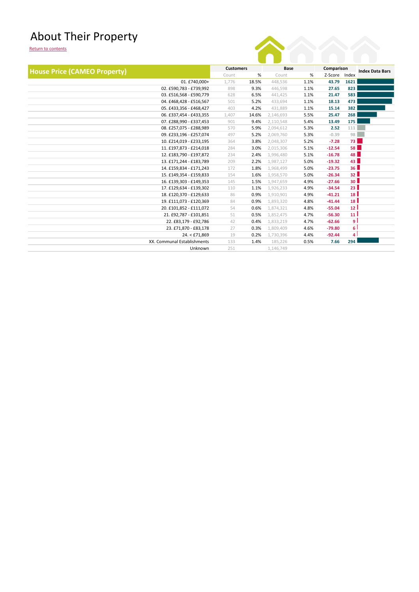### About Their Property



| <b>House Price (CAMEO Property)</b> | <b>Customers</b> |       | <b>Base</b> |      | Comparison |                 | <b>Index Data Bars</b> |  |
|-------------------------------------|------------------|-------|-------------|------|------------|-----------------|------------------------|--|
|                                     | Count            | %     | Count       | %    | Z-Score    | Index           |                        |  |
| 01. £740,000+                       | 1,776            | 18.5% | 448,536     | 1.1% | 43.79      | 1621            |                        |  |
| 02. £590,783 - £739,992             | 898              | 9.3%  | 446,598     | 1.1% | 27.65      | 823             |                        |  |
| 03. £516,568 - £590,779             | 628              | 6.5%  | 441,425     | 1.1% | 21.47      | 583             |                        |  |
| 04. £468,428 - £516,567             | 501              | 5.2%  | 433,694     | 1.1% | 18.13      | 473             |                        |  |
| 05. £433,356 - £468,427             | 403              | 4.2%  | 431,889     | 1.1% | 15.14      | 382             |                        |  |
| 06. £337,454 - £433,355             | 1,407            | 14.6% | 2,146,693   | 5.5% | 25.47      | 268             |                        |  |
| 07. £288,990 - £337,453             | 901              | 9.4%  | 2,110,548   | 5.4% | 13.49      | 175             |                        |  |
| 08. £257,075 - £288,989             | 570              | 5.9%  | 2,094,612   | 5.3% | 2.52       | 111             |                        |  |
| 09. £233.196 - £257.074             | 497              | 5.2%  | 2,069,760   | 5.3% | $-0.39$    | 98              |                        |  |
| 10. £214,019 - £233,195             | 364              | 3.8%  | 2,048,307   | 5.2% | $-7.28$    | 73 L            |                        |  |
| 11. £197,873 - £214,018             | 284              | 3.0%  | 2,015,306   | 5.1% | $-12.54$   | 58 <sup>1</sup> |                        |  |
| 12. £183,790 - £197,872             | 234              | 2.4%  | 1,996,480   | 5.1% | $-16.78$   | 48 L            |                        |  |
| 13. £171,244 - £183,789             | 209              | 2.2%  | 1,987,127   | 5.0% | $-19.32$   | 43              |                        |  |
| 14. £159,834 - £171,243             | 172              | 1.8%  | 1,968,499   | 5.0% | $-23.75$   | 36 <sup>1</sup> |                        |  |
| 15. £149,354 - £159,833             | 154              | 1.6%  | 1,958,570   | 5.0% | $-26.34$   | 32 <sub>1</sub> |                        |  |
| 16. £139,303 - £149,353             | 145              | 1.5%  | 1,947,659   | 4.9% | $-27.66$   | 30 <sup>1</sup> |                        |  |
| 17. £129,634 - £139,302             | 110              | 1.1%  | 1,926,233   | 4.9% | $-34.54$   | 23 <sup>1</sup> |                        |  |
| 18. £120,370 - £129,633             | 86               | 0.9%  | 1,910,901   | 4.9% | $-41.21$   | 18 <sup>1</sup> |                        |  |
| 19. £111,073 - £120,369             | 84               | 0.9%  | 1,893,320   | 4.8% | $-41.44$   | 18 <sup>1</sup> |                        |  |
| 20. £101,852 - £111,072             | 54               | 0.6%  | 1,874,321   | 4.8% | $-55.04$   | 12 <sup>1</sup> |                        |  |
| 21. £92,787 - £101,851              | 51               | 0.5%  | 1,852,475   | 4.7% | $-56.30$   | 11 <sup>1</sup> |                        |  |
| 22. £83,179 - £92,786               | 42               | 0.4%  | 1,833,219   | 4.7% | $-62.66$   | ا و             |                        |  |
| 23. £71,870 - £83,178               | 27               | 0.3%  | 1,809,409   | 4.6% | $-79.80$   | 6 <sup>1</sup>  |                        |  |
| 24. < £71,869                       | 19               | 0.2%  | 1,730,396   | 4.4% | $-92.44$   | 4               |                        |  |
| XX. Communal Establishments         | 133              | 1.4%  | 185,226     | 0.5% | 7.66       | 294             |                        |  |
| Unknown                             | 251              |       | 1,146,749   |      |            |                 |                        |  |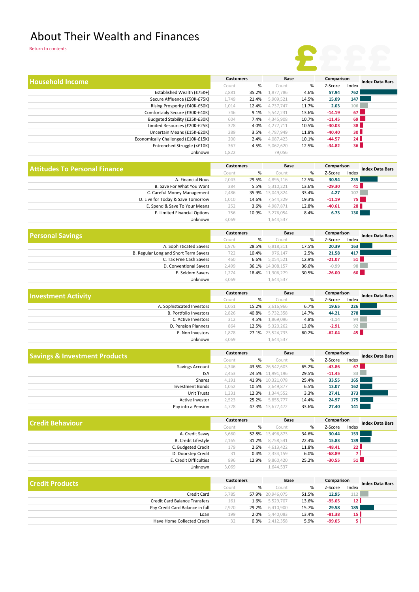#### About Their Wealth and Finances

Return to contents

# **£**£££

| <b>Household Income</b>              |                                     | <b>Customers</b> |       | Base             |         | Comparison |                 | <b>Index Data Bars</b> |  |
|--------------------------------------|-------------------------------------|------------------|-------|------------------|---------|------------|-----------------|------------------------|--|
|                                      |                                     | Count            | %     | Count            | %       | Z-Score    | Index           |                        |  |
|                                      | Established Wealth (£75K+)          | 2,881            | 35.2% | 1,877,786        | 4.6%    | 57.94      | 762             |                        |  |
|                                      | Secure Affluence (£50K-£75K)        | 1,749            | 21.4% | 5,909,521        | 14.5%   | 15.09      | 147             |                        |  |
|                                      | Rising Prosperity (£40K-£50K)       | 1,014            | 12.4% | 4,737,747        | 11.7%   | 2.03       | 106             |                        |  |
|                                      | Comfortably Secure (£30K-£40K)      | 746              | 9.1%  | 5,542,231        | 13.6%   | $-14.19$   | 67 <sup>1</sup> |                        |  |
|                                      | Budgeted Stability (£25K-£30K)      | 604              | 7.4%  | 4,345,908        | 10.7%   | $-11.45$   | 69 I            |                        |  |
|                                      | Limited Resources (£20K-£25K)       | 328              | 4.0%  | 4,277,711        | 10.5%   | $-30.03$   | 38 <sup>1</sup> |                        |  |
|                                      | Uncertain Means (£15K-£20K)         | 289              | 3.5%  | 4,787,949        | 11.8%   | $-40.40$   | 30 <sub>1</sub> |                        |  |
|                                      | Economically Challenged (£10K-£15K) | 200              | 2.4%  | 4,087,423        | 10.1%   | $-44.57$   | 24              |                        |  |
|                                      | Entrenched Struggle (<£10K)         | 367              | 4.5%  | 5,062,620        | 12.5%   | $-34.82$   | 36 <sup>1</sup> |                        |  |
|                                      | Unknown                             | 1,822            |       | 79,056           |         |            |                 |                        |  |
| <b>Attitudes To Personal Finance</b> |                                     | <b>Customers</b> |       | Base             |         | Comparison |                 | <b>Index Data Bars</b> |  |
|                                      | Count                               | %                | Count | %                | Z-Score | Index      |                 |                        |  |
|                                      | A. Financial Nous                   | 2,043            | 29.5% | 4,895,116        | 12.5%   | 30.94      | 235             |                        |  |
|                                      | B. Save For What You Want           | 384              | 5.5%  | 5,310,221        | 13.6%   | $-29.30$   | 41              |                        |  |
|                                      | C. Careful Money Management         | 2,486            |       | 35.9% 13,049,824 | 33.4%   | 4.27       | 107             |                        |  |

| <b>Contract Contract Contract</b> | <b>Customers</b> |       | Base              |          | Comparison |                  | $\sim$ $\sim$ $\sim$ $\sim$ |
|-----------------------------------|------------------|-------|-------------------|----------|------------|------------------|-----------------------------|
|                                   |                  |       |                   |          |            |                  |                             |
| Unknown                           | 3.069            |       | 1.644.537         |          |            |                  |                             |
| F. Limited Financial Options      | 756              | 10.9% | 3.276.054         | 8.4%     | 6.73       | 130 <sub>1</sub> |                             |
| E. Spend & Save To Your Means     | 252              | 3.6%  | 4.987.871         | 12.8%    | $-40.61$   | 28 <sup>1</sup>  |                             |
| D. Live for Today & Save Tomorrow | 1,010            |       | 14.6% 7,544,329   | 19.3%    | $-11.19$   | 75 l             |                             |
| C. Careful Morrey Management      | 4,400            |       | JJ.J/0 IJ,U4J,OZ4 | - 33.470 | 9.LI       | 107 I            |                             |

| <b>Personal Savings</b>               |                         | <b>Customers</b> |                  | Base  | Comparison |       | <b>Index Data Bars</b> |  |
|---------------------------------------|-------------------------|------------------|------------------|-------|------------|-------|------------------------|--|
|                                       | Count                   | %                | Count            | %     | Z-Score    | Index |                        |  |
| A. Sophisticated Savers               | 1.976                   | 28.5%            | 6.818.311        | 17.5% | 20.39      | 163   |                        |  |
| B. Regular Long and Short Term Savers | 722                     | 10.4%            | 976.147          | 2.5%  | 21.58      | 417   |                        |  |
| C. Tax Free Cash Savers               | 460                     | 6.6%             | 5,054,521        | 12.9% | $-21.07$   | 51 I  |                        |  |
| D. Conventional Savers                | 2.499                   |                  | 36.1% 14,308,157 | 36.6% | $-0.99$    | 98    |                        |  |
| E. Seldom Savers                      | 1.274                   |                  | 18.4% 11,906,279 | 30.5% | $-26.00$   | 60    |                        |  |
|                                       | 3.069<br><b>Unknown</b> |                  | 1,644,537        |       |            |       |                        |  |

| <b>Investment Activity</b>    | <b>Customers</b> |       | Base             |       | Comparison |                 | <b>Index Data Bars</b> |  |
|-------------------------------|------------------|-------|------------------|-------|------------|-----------------|------------------------|--|
|                               | Count            | %     | Count            | %     | Z-Score    | Index           |                        |  |
| A. Sophisticated Investors    | 1,051            | 15.2% | 2,616,966        | 6.7%  | 19.65      | 226             |                        |  |
| <b>B. Portfolio Investors</b> | 2,826            | 40.8% | 5,732,358        | 14.7% | 44.21      | <b>278</b>      |                        |  |
| C. Active Investors           | 312              | 4.5%  | 1,869,096        | 4.8%  | $-1.14$    | 94              |                        |  |
| D. Pension Planners           | 864              | 12.5% | 5,320,262        | 13.6% | $-2.91$    | 92              |                        |  |
| E. Non Investors              | 1,878            |       | 27.1% 23,524,733 | 60.2% | $-62.04$   | 45 <sup>1</sup> |                        |  |
| <b>Unknown</b>                | 3.069            |       | 1,644,537        |       |            |                 |                        |  |

| <b>Savings &amp; Investment Products</b> |       | <b>Customers</b> | Base             |       | Comparison |                  | <b>Index Data Bars</b> |  |
|------------------------------------------|-------|------------------|------------------|-------|------------|------------------|------------------------|--|
|                                          | Count | %                | Count            | %     | Z-Score    | Index            |                        |  |
| Savings Account                          | 4,346 |                  | 43.5% 26,542,603 | 65.2% | $-43.86$   | 67 <sup>1</sup>  |                        |  |
| <b>ISA</b>                               | 2,453 |                  | 24.5% 11,991,196 | 29.5% | $-11.45$   | 83               |                        |  |
| Shares                                   | 4,191 |                  | 41.9% 10,321,078 | 25.4% | 33.55      | 165              |                        |  |
| <b>Investment Bonds</b>                  | 1,052 | 10.5%            | 2,649,877        | 6.5%  | 13.07      | 162              |                        |  |
| <b>Unit Trusts</b>                       | 1,231 | 12.3%            | 1,344,552        | 3.3%  | 27.41      | 373 <sup>1</sup> |                        |  |
| Active Investor                          | 2,523 | 25.2%            | 5,855,777        | 14.4% | 24.97      | 175              |                        |  |
| Pay into a Pension                       | 4.728 |                  | 47.3% 13,677,472 | 33.6% | 27.40      | 141              |                        |  |

| l Credit Behaviour |                            | <b>Customers</b> |       | Base             |       | Comparison |                  | <b>Index Data Bars</b> |  |
|--------------------|----------------------------|------------------|-------|------------------|-------|------------|------------------|------------------------|--|
|                    |                            | Count            | %     | Count            | %     | Z-Score    | Index            |                        |  |
|                    | A. Credit Savvy            | 3,660            |       | 52.8% 13,496,873 | 34.6% | 30.44      | 153 <sup>1</sup> |                        |  |
|                    | <b>B. Credit Lifestyle</b> | 2,165            | 31.2% | 8,758,541        | 22.4% | 15.83      | 139 l            |                        |  |
|                    | C. Budgeted Credit         | 179              | 2.6%  | 4,613,422        | 11.8% | $-48.41$   | 22 <sub>1</sub>  |                        |  |
|                    | D. Doorstep Credit         | 31               | 0.4%  | 2,334,159        | 6.0%  | $-68.89$   |                  |                        |  |
|                    | E. Credit Difficulties     | 896              | 12.9% | 9,860,420        | 25.2% | $-30.55$   | 51               |                        |  |
|                    | Unknown                    | 3.069            |       | 1,644,537        |       |            |                  |                        |  |

| l Credit Products                    | <b>Customers</b> |       | Base             |       | Comparison |                  | <b>Index Data Bars</b> |  |
|--------------------------------------|------------------|-------|------------------|-------|------------|------------------|------------------------|--|
|                                      | Count            | %     | Count            | %     | Z-Score    | Index            |                        |  |
| <b>Credit Card</b>                   | 5.785            |       | 57.9% 20.946.075 | 51.5% | 12.95      | 112              |                        |  |
| <b>Credit Card Balance Transfers</b> | 161              | L.6%  | 5,529,707        | 13.6% | $-95.05$   | 12               |                        |  |
| Pay Credit Card Balance in full      | 2.920            | 29.2% | 6,410,900        | 15.7% | 29.58      | 185 <sup> </sup> |                        |  |
| Loan                                 | 199              | 2.0%  | 5,440,083        | 13.4% | $-81.38$   | 15               |                        |  |
| Have Home Collected Credit           | 32               | 0.3%  | 2,412,358        | 5.9%  | $-99.05$   |                  |                        |  |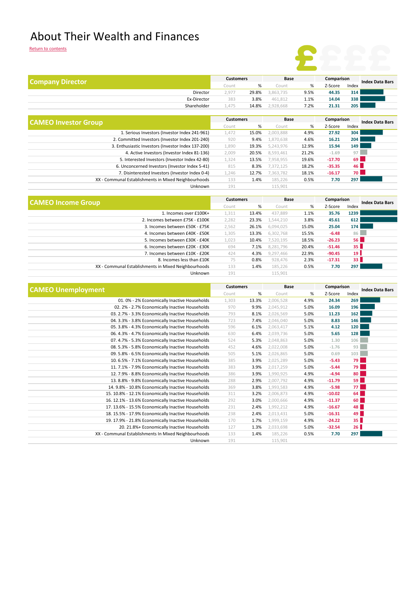### About Their Wealth and Finances

|--|

| <b>Company Director</b>                              |                  | <b>Customers</b> | Base      |       | Comparison |       | <b>Index Data Bars</b> |  |
|------------------------------------------------------|------------------|------------------|-----------|-------|------------|-------|------------------------|--|
|                                                      | Count            | %                | Count     | %     | Z-Score    | Index |                        |  |
| Director                                             | 2,977            | 29.8%            | 3,863,735 | 9.5%  | 44.35      | 314   |                        |  |
| Ex-Director                                          | 383              | 3.8%             | 461,812   | 1.1%  | 14.04      | 338   |                        |  |
| Shareholder                                          | 1,475            | 14.8%            | 2,928,668 | 7.2%  | 21.31      | 205   |                        |  |
|                                                      | <b>Customers</b> |                  | Base      |       | Comparison |       |                        |  |
| <b>CAMEO Investor Group</b>                          | Count            | %                | Count     | %     | Z-Score    | Index | <b>Index Data Bars</b> |  |
| 1. Serious Investors (Investor Index 241-961)        | 1,472            | 15.0%            | 2,003,888 | 4.9%  | 27.92      | 304   |                        |  |
| 2. Committed Investors (Investor Index 201-240)      | 920              | 9.4%             | 1,870,638 | 4.6%  | 16.21      | 204   |                        |  |
| 3. Enthusiastic Investors (Investor Index 137-200)   | 1,890            | 19.3%            | 5,243,976 | 12.9% | 15.94      | 149   |                        |  |
| 4. Active Investors (Investor Index 81-136)          | 2,009            | 20.5%            | 8,593,461 | 21.2% | $-1.69$    | 97    |                        |  |
| 5. Interested Investors (Investor Index 42-80)       | 1,324            | 13.5%            | 7,958,955 | 19.6% | $-17.70$   | 69    |                        |  |
| 6. Unconcerned Investors (Investor Index 5-41)       | 815              | 8.3%             | 7,372,125 | 18.2% | $-35.35$   | 46 L  |                        |  |
| 7. Disinterested Investors (Investor Index 0-4)      | 1,246            | 12.7%            | 7,363,782 | 18.1% | $-16.17$   | 70 L  |                        |  |
| XX - Communal Establishments in Mixed Neighbourhoods | 133              | 1.4%             | 185,226   | 0.5%  | 7.70       | 297   |                        |  |
| Unknown                                              | 191              |                  | 115,901   |       |            |       |                        |  |
|                                                      |                  |                  |           |       |            |       |                        |  |

|                                                      | <b>Customers</b> |       | Base      |       | Comparison |                 | <b>Index Data Bars</b> |  |
|------------------------------------------------------|------------------|-------|-----------|-------|------------|-----------------|------------------------|--|
| <b>CAMEO Income Group</b>                            | Count            | %     | Count     | %     | Z-Score    | Index           |                        |  |
| 1. Incomes over £100K+                               | 1,311            | 13.4% | 437.889   | 1.1%  | 35.76      | 1239            |                        |  |
| 2. Incomes between £75K - £100K                      | 2,282            | 23.3% | 1,544,210 | 3.8%  | 45.61      | 612             |                        |  |
| 3. Incomes between £50K - £75K                       | 2,562            | 26.1% | 6,094,025 | 15.0% | 25.04      | 174             |                        |  |
| 4. Incomes between £40K - £50K                       | 1,305            | 13.3% | 6,302,768 | 15.5% | $-6.48$    | 86              |                        |  |
| 5. Incomes between £30K - £40K                       | 1,023            | 10.4% | 7,520,195 | 18.5% | $-26.23$   | 56              |                        |  |
| 6. Incomes between £20K - £30K                       | 694              | 7.1%  | 8.281.796 | 20.4% | $-51.46$   | 35 <sup>1</sup> |                        |  |
| 7. Incomes between £10K - £20K                       | 424              | 4.3%  | 9.297.466 | 22.9% | $-90.45$   | 19 <sup>1</sup> |                        |  |
| 8. Incomes less than £10K                            | 75               | 0.8%  | 928,476   | 2.3%  | $-17.31$   | 33              |                        |  |
| XX - Communal Establishments in Mixed Neighbourhoods | 133              | 1.4%  | 185,226   | 0.5%  | 7.70       | 297             |                        |  |
| Unknown                                              | 191              |       | 115.901   |       |            |                 |                        |  |

| <b>CAMEO Unemployment</b>                            | <b>Customers</b> |       | <b>Base</b> |      | Comparison |                     | <b>Index Data Bars</b> |
|------------------------------------------------------|------------------|-------|-------------|------|------------|---------------------|------------------------|
|                                                      | Count            | %     | Count       | %    | Z-Score    | Index               |                        |
| 01.0% - 2% Economically Inactive Households          | 1,303            | 13.3% | 2,006,528   | 4.9% | 24.34      | 269                 |                        |
| 02. 2% - 2.7% Economically Inactive Households       | 970              | 9.9%  | 2,045,912   | 5.0% | 16.09      | 196                 |                        |
| 03. 2.7% - 3.3% Economically Inactive Households     | 793              | 8.1%  | 2,026,569   | 5.0% | 11.23      | 162                 |                        |
| 04. 3.3% - 3.8% Economically Inactive Households     | 723              | 7.4%  | 2,046,040   | 5.0% | 8.83       | 146                 |                        |
| 05. 3.8% - 4.3% Economically Inactive Households     | 596              | 6.1%  | 2,063,417   | 5.1% | 4.12       | 120                 |                        |
| 06. 4.3% - 4.7% Economically Inactive Households     | 630              | 6.4%  | 2,039,736   | 5.0% | 5.65       | 128                 |                        |
| 07. 4.7% - 5.3% Economically Inactive Households     | 524              | 5.3%  | 2,048,863   | 5.0% | 1.30       | 106                 |                        |
| 08. 5.3% - 5.8% Economically Inactive Households     | 452              | 4.6%  | 2,022,008   | 5.0% | $-1.76$    | 93                  |                        |
| 09. 5.8% - 6.5% Economically Inactive Households     | 505              | 5.1%  | 2,026,865   | 5.0% | 0.69       | 103                 |                        |
| 10.6.5% - 7.1% Economically Inactive Households      | 385              | 3.9%  | 2,025,289   | 5.0% | $-5.43$    | <b>79</b>           |                        |
| 11. 7.1% - 7.9% Economically Inactive Households     | 383              | 3.9%  | 2,017,259   | 5.0% | $-5.44$    | <b>79</b>           |                        |
| 12. 7.9% - 8.8% Economically Inactive Households     | 386              | 3.9%  | 1,990,925   | 4.9% | $-4.94$    | <b>80</b>           |                        |
| 13. 8.8% - 9.8% Economically Inactive Households     | 288              | 2.9%  | 2,007,792   | 4.9% | $-11.79$   | <b>59</b>           |                        |
| 14. 9.8% - 10.8% Economically Inactive Households    | 369              | 3.8%  | 1,993,583   | 4.9% | $-5.98$    | $77$ $\blacksquare$ |                        |
| 15. 10.8% - 12.1% Economically Inactive Households   | 311              | 3.2%  | 2,006,873   | 4.9% | $-10.02$   | 64                  |                        |
| 16. 12.1% - 13.6% Economically Inactive Households   | 292              | 3.0%  | 2,000,666   | 4.9% | $-11.37$   | 60                  |                        |
| 17. 13.6% - 15.5% Economically Inactive Households   | 231              | 2.4%  | 1,992,212   | 4.9% | $-16.67$   | 48                  |                        |
| 18. 15.5% - 17.9% Economically Inactive Households   | 238              | 2.4%  | 2,013,431   | 5.0% | $-16.31$   | 49                  |                        |
| 19. 17.9% - 21.8% Economically Inactive Households   | 170              | 1.7%  | 1,999,159   | 4.9% | $-24.22$   | 35 <sup>1</sup>     |                        |
| 20. 21.8%+ Economically Inactive Households          | 127              | 1.3%  | 2,033,698   | 5.0% | $-32.54$   | 26                  |                        |
| XX - Communal Establishments In Mixed Neighbourhoods | 133              | 1.4%  | 185,226     | 0.5% | 7.70       | 297                 |                        |
| Unknown                                              | 191              |       | 115,901     |      |            |                     |                        |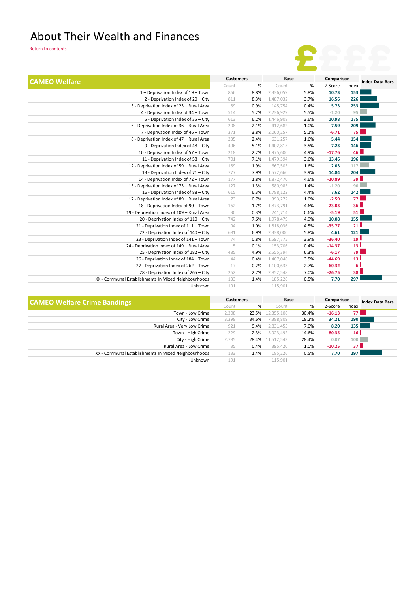#### About Their Wealth and Finances

| Comparison<br><b>Customers</b><br><b>Base</b><br><b>CAMEO Welfare</b><br>$\%$<br>%<br>Index<br>Count<br>Z-Score<br>Count<br>8.8%<br>2.336.059<br>5.8%<br>153<br>1 - Deprivation Index of 19 - Town<br>866<br>10.73<br>226<br>2 - Deprivation Index of 20 - City<br>3.7%<br>16.56<br>811<br>8.3%<br>1,487,032<br>253<br>5.73<br>3 - Deprivation Index of 23 - Rural Area<br>89<br>0.9%<br>145,754<br>0.4%<br>95<br>4 - Deprivation Index of 34 - Town<br>5.2%<br>2.236.929<br>5.5%<br>$-1.20$<br>514<br>175<br>5 - Deprivation Index of 35 - City<br>6.2%<br>1,446,908<br>3.6%<br>10.98<br>613<br>6 - Deprivation Index of 36 - Rural Area<br>208<br>2.1%<br>1.0%<br>7.59<br>209<br>412,682<br><b>75</b><br>7 - Deprivation Index of 46 - Town<br>371<br>3.8%<br>2,060,257<br>5.1%<br>$-6.71$<br>8 - Deprivation Index of 47 - Rural Area<br>154<br>235<br>2.4%<br>631,257<br>1.6%<br>5.44<br>9 - Deprivation Index of 48 - City<br>496<br>1,402,815<br>7.23<br>146<br>5.1%<br>3.5%<br>46 <sup>1</sup><br>10 - Deprivation Index of 57 - Town<br>218<br>2.2%<br>1,975,600<br>4.9%<br>$-17.76$<br>196<br>11 - Deprivation Index of 58 - City<br>701<br>7.1%<br>1,479,394<br>3.6%<br>13.46<br>117<br>12 - Deprivation Index of 59 - Rural Area<br>189<br>1.9%<br>667,505<br>2.03<br>1.6%<br>204<br>13 - Deprivation Index of 71 - City<br>777<br>7.9%<br>1,572,660<br>3.9%<br>14.84<br>39L<br>14 - Deprivation Index of 72 - Town<br>177<br>1.8%<br>1,872,470<br>4.6%<br>$-20.89$<br>90<br>15 - Deprivation Index of 73 - Rural Area<br>580,985<br>127<br>1.3%<br>1.4%<br>$-1.20$<br>142<br>7.62<br>16 - Deprivation Index of 88 - City<br>615<br>6.3%<br>1,788,122<br>4.4% |                                           |    |      |         |      |         |      |                        |
|--------------------------------------------------------------------------------------------------------------------------------------------------------------------------------------------------------------------------------------------------------------------------------------------------------------------------------------------------------------------------------------------------------------------------------------------------------------------------------------------------------------------------------------------------------------------------------------------------------------------------------------------------------------------------------------------------------------------------------------------------------------------------------------------------------------------------------------------------------------------------------------------------------------------------------------------------------------------------------------------------------------------------------------------------------------------------------------------------------------------------------------------------------------------------------------------------------------------------------------------------------------------------------------------------------------------------------------------------------------------------------------------------------------------------------------------------------------------------------------------------------------------------------------------------------------------------------------------------------------------------------------------------------------------------|-------------------------------------------|----|------|---------|------|---------|------|------------------------|
|                                                                                                                                                                                                                                                                                                                                                                                                                                                                                                                                                                                                                                                                                                                                                                                                                                                                                                                                                                                                                                                                                                                                                                                                                                                                                                                                                                                                                                                                                                                                                                                                                                                                          |                                           |    |      |         |      |         |      |                        |
|                                                                                                                                                                                                                                                                                                                                                                                                                                                                                                                                                                                                                                                                                                                                                                                                                                                                                                                                                                                                                                                                                                                                                                                                                                                                                                                                                                                                                                                                                                                                                                                                                                                                          |                                           |    |      |         |      |         |      |                        |
|                                                                                                                                                                                                                                                                                                                                                                                                                                                                                                                                                                                                                                                                                                                                                                                                                                                                                                                                                                                                                                                                                                                                                                                                                                                                                                                                                                                                                                                                                                                                                                                                                                                                          |                                           |    |      |         |      |         |      |                        |
|                                                                                                                                                                                                                                                                                                                                                                                                                                                                                                                                                                                                                                                                                                                                                                                                                                                                                                                                                                                                                                                                                                                                                                                                                                                                                                                                                                                                                                                                                                                                                                                                                                                                          |                                           |    |      |         |      |         |      | <b>Index Data Bars</b> |
|                                                                                                                                                                                                                                                                                                                                                                                                                                                                                                                                                                                                                                                                                                                                                                                                                                                                                                                                                                                                                                                                                                                                                                                                                                                                                                                                                                                                                                                                                                                                                                                                                                                                          |                                           |    |      |         |      |         |      |                        |
|                                                                                                                                                                                                                                                                                                                                                                                                                                                                                                                                                                                                                                                                                                                                                                                                                                                                                                                                                                                                                                                                                                                                                                                                                                                                                                                                                                                                                                                                                                                                                                                                                                                                          |                                           |    |      |         |      |         |      |                        |
|                                                                                                                                                                                                                                                                                                                                                                                                                                                                                                                                                                                                                                                                                                                                                                                                                                                                                                                                                                                                                                                                                                                                                                                                                                                                                                                                                                                                                                                                                                                                                                                                                                                                          |                                           |    |      |         |      |         |      |                        |
|                                                                                                                                                                                                                                                                                                                                                                                                                                                                                                                                                                                                                                                                                                                                                                                                                                                                                                                                                                                                                                                                                                                                                                                                                                                                                                                                                                                                                                                                                                                                                                                                                                                                          |                                           |    |      |         |      |         |      |                        |
|                                                                                                                                                                                                                                                                                                                                                                                                                                                                                                                                                                                                                                                                                                                                                                                                                                                                                                                                                                                                                                                                                                                                                                                                                                                                                                                                                                                                                                                                                                                                                                                                                                                                          |                                           |    |      |         |      |         |      |                        |
|                                                                                                                                                                                                                                                                                                                                                                                                                                                                                                                                                                                                                                                                                                                                                                                                                                                                                                                                                                                                                                                                                                                                                                                                                                                                                                                                                                                                                                                                                                                                                                                                                                                                          |                                           |    |      |         |      |         |      |                        |
|                                                                                                                                                                                                                                                                                                                                                                                                                                                                                                                                                                                                                                                                                                                                                                                                                                                                                                                                                                                                                                                                                                                                                                                                                                                                                                                                                                                                                                                                                                                                                                                                                                                                          |                                           |    |      |         |      |         |      |                        |
|                                                                                                                                                                                                                                                                                                                                                                                                                                                                                                                                                                                                                                                                                                                                                                                                                                                                                                                                                                                                                                                                                                                                                                                                                                                                                                                                                                                                                                                                                                                                                                                                                                                                          |                                           |    |      |         |      |         |      |                        |
|                                                                                                                                                                                                                                                                                                                                                                                                                                                                                                                                                                                                                                                                                                                                                                                                                                                                                                                                                                                                                                                                                                                                                                                                                                                                                                                                                                                                                                                                                                                                                                                                                                                                          |                                           |    |      |         |      |         |      |                        |
|                                                                                                                                                                                                                                                                                                                                                                                                                                                                                                                                                                                                                                                                                                                                                                                                                                                                                                                                                                                                                                                                                                                                                                                                                                                                                                                                                                                                                                                                                                                                                                                                                                                                          |                                           |    |      |         |      |         |      |                        |
|                                                                                                                                                                                                                                                                                                                                                                                                                                                                                                                                                                                                                                                                                                                                                                                                                                                                                                                                                                                                                                                                                                                                                                                                                                                                                                                                                                                                                                                                                                                                                                                                                                                                          |                                           |    |      |         |      |         |      |                        |
|                                                                                                                                                                                                                                                                                                                                                                                                                                                                                                                                                                                                                                                                                                                                                                                                                                                                                                                                                                                                                                                                                                                                                                                                                                                                                                                                                                                                                                                                                                                                                                                                                                                                          |                                           |    |      |         |      |         |      |                        |
|                                                                                                                                                                                                                                                                                                                                                                                                                                                                                                                                                                                                                                                                                                                                                                                                                                                                                                                                                                                                                                                                                                                                                                                                                                                                                                                                                                                                                                                                                                                                                                                                                                                                          |                                           |    |      |         |      |         |      |                        |
|                                                                                                                                                                                                                                                                                                                                                                                                                                                                                                                                                                                                                                                                                                                                                                                                                                                                                                                                                                                                                                                                                                                                                                                                                                                                                                                                                                                                                                                                                                                                                                                                                                                                          |                                           |    |      |         |      |         |      |                        |
|                                                                                                                                                                                                                                                                                                                                                                                                                                                                                                                                                                                                                                                                                                                                                                                                                                                                                                                                                                                                                                                                                                                                                                                                                                                                                                                                                                                                                                                                                                                                                                                                                                                                          |                                           |    |      |         |      |         |      |                        |
|                                                                                                                                                                                                                                                                                                                                                                                                                                                                                                                                                                                                                                                                                                                                                                                                                                                                                                                                                                                                                                                                                                                                                                                                                                                                                                                                                                                                                                                                                                                                                                                                                                                                          |                                           |    |      |         |      |         |      |                        |
|                                                                                                                                                                                                                                                                                                                                                                                                                                                                                                                                                                                                                                                                                                                                                                                                                                                                                                                                                                                                                                                                                                                                                                                                                                                                                                                                                                                                                                                                                                                                                                                                                                                                          |                                           |    |      |         |      |         |      |                        |
|                                                                                                                                                                                                                                                                                                                                                                                                                                                                                                                                                                                                                                                                                                                                                                                                                                                                                                                                                                                                                                                                                                                                                                                                                                                                                                                                                                                                                                                                                                                                                                                                                                                                          | 17 - Deprivation Index of 89 - Rural Area | 73 | 0.7% | 393,272 | 1.0% | $-2.59$ | 77 I |                        |
| 36L<br>18 - Deprivation Index of 90 - Town<br>1.7%<br>1,873,791<br>4.6%<br>$-23.03$<br>162                                                                                                                                                                                                                                                                                                                                                                                                                                                                                                                                                                                                                                                                                                                                                                                                                                                                                                                                                                                                                                                                                                                                                                                                                                                                                                                                                                                                                                                                                                                                                                               |                                           |    |      |         |      |         |      |                        |
| 51 <sup>1</sup><br>19 - Deprivation Index of 109 - Rural Area<br>30<br>0.3%<br>$-5.19$<br>241,714<br>0.6%                                                                                                                                                                                                                                                                                                                                                                                                                                                                                                                                                                                                                                                                                                                                                                                                                                                                                                                                                                                                                                                                                                                                                                                                                                                                                                                                                                                                                                                                                                                                                                |                                           |    |      |         |      |         |      |                        |
| 155<br>20 - Deprivation Index of 110 - City<br>7.6%<br>10.08<br>742<br>1,978,479<br>4.9%                                                                                                                                                                                                                                                                                                                                                                                                                                                                                                                                                                                                                                                                                                                                                                                                                                                                                                                                                                                                                                                                                                                                                                                                                                                                                                                                                                                                                                                                                                                                                                                 |                                           |    |      |         |      |         |      |                        |
| 21 <sup>1</sup><br>21 - Deprivation Index of 111 - Town<br>94<br>1.0%<br>1,818,036<br>$-35.77$<br>4.5%                                                                                                                                                                                                                                                                                                                                                                                                                                                                                                                                                                                                                                                                                                                                                                                                                                                                                                                                                                                                                                                                                                                                                                                                                                                                                                                                                                                                                                                                                                                                                                   |                                           |    |      |         |      |         |      |                        |
| 121<br>681<br>22 - Deprivation Index of 140 - City<br>6.9%<br>2,338,000<br>5.8%<br>4.61                                                                                                                                                                                                                                                                                                                                                                                                                                                                                                                                                                                                                                                                                                                                                                                                                                                                                                                                                                                                                                                                                                                                                                                                                                                                                                                                                                                                                                                                                                                                                                                  |                                           |    |      |         |      |         |      |                        |
| 19 <sup>1</sup><br>74<br>23 - Deprivation Index of 141 - Town<br>0.8%<br>1,597,775<br>3.9%<br>$-36.40$                                                                                                                                                                                                                                                                                                                                                                                                                                                                                                                                                                                                                                                                                                                                                                                                                                                                                                                                                                                                                                                                                                                                                                                                                                                                                                                                                                                                                                                                                                                                                                   |                                           |    |      |         |      |         |      |                        |
| 13 <sup>1</sup><br>5<br>24 - Deprivation Index of 149 - Rural Area<br>0.1%<br>153,706<br>0.4%<br>$-14.37$                                                                                                                                                                                                                                                                                                                                                                                                                                                                                                                                                                                                                                                                                                                                                                                                                                                                                                                                                                                                                                                                                                                                                                                                                                                                                                                                                                                                                                                                                                                                                                |                                           |    |      |         |      |         |      |                        |
| 79 l<br>25 - Deprivation Index of 182 - City<br>485<br>4.9%<br>2,555,394<br>6.3%<br>$-6.17$                                                                                                                                                                                                                                                                                                                                                                                                                                                                                                                                                                                                                                                                                                                                                                                                                                                                                                                                                                                                                                                                                                                                                                                                                                                                                                                                                                                                                                                                                                                                                                              |                                           |    |      |         |      |         |      |                        |
| 13 <sup>1</sup><br>44<br>1,407,048<br>3.5%<br>$-44.69$<br>26 - Deprivation Index of 184 - Town<br>0.4%                                                                                                                                                                                                                                                                                                                                                                                                                                                                                                                                                                                                                                                                                                                                                                                                                                                                                                                                                                                                                                                                                                                                                                                                                                                                                                                                                                                                                                                                                                                                                                   |                                           |    |      |         |      |         |      |                        |
| 6<br>2.7%<br>27 - Deprivation Index of 262 - Town<br>17<br>0.2%<br>1,100,633<br>$-60.32$                                                                                                                                                                                                                                                                                                                                                                                                                                                                                                                                                                                                                                                                                                                                                                                                                                                                                                                                                                                                                                                                                                                                                                                                                                                                                                                                                                                                                                                                                                                                                                                 |                                           |    |      |         |      |         |      |                        |
| 38 <sup>1</sup><br>28 - Deprivation Index of 265 - City<br>262<br>2.7%<br>2,852,548<br>7.0%<br>$-26.75$                                                                                                                                                                                                                                                                                                                                                                                                                                                                                                                                                                                                                                                                                                                                                                                                                                                                                                                                                                                                                                                                                                                                                                                                                                                                                                                                                                                                                                                                                                                                                                  |                                           |    |      |         |      |         |      |                        |
| 297<br>XX - Communal Establishments In Mixed Neighbourhoods<br>7.70<br>133<br>1.4%<br>185,226<br>0.5%                                                                                                                                                                                                                                                                                                                                                                                                                                                                                                                                                                                                                                                                                                                                                                                                                                                                                                                                                                                                                                                                                                                                                                                                                                                                                                                                                                                                                                                                                                                                                                    |                                           |    |      |         |      |         |      |                        |
| 191<br>Unknown<br>115,901                                                                                                                                                                                                                                                                                                                                                                                                                                                                                                                                                                                                                                                                                                                                                                                                                                                                                                                                                                                                                                                                                                                                                                                                                                                                                                                                                                                                                                                                                                                                                                                                                                                |                                           |    |      |         |      |         |      |                        |

| <b>CAMEO Welfare Crime Bandings</b>                  | <b>Customers</b> |       | Base             |       | Comparison |                  | <b>Index Data Bars</b> |
|------------------------------------------------------|------------------|-------|------------------|-------|------------|------------------|------------------------|
|                                                      | Count            | %     | Count            | %     | Z-Score    | Index            |                        |
| Town - Low Crime                                     | 2,308            |       | 23.5% 12,355,106 | 30.4% | $-16.13$   | 77 L             |                        |
| City - Low Crime                                     | 3,398            | 34.6% | 7,388,809        | 18.2% | 34.21      | 190 <sub>l</sub> |                        |
| Rural Area - Very Low Crime                          | 921              | 9.4%  | 2,831,455        | 7.0%  | 8.20       | 135              |                        |
| Town - High Crime                                    | 229              | 2.3%  | 5,923,492        | 14.6% | $-80.35$   | 16 <sup>1</sup>  |                        |
| City - High Crime                                    | 2,785            |       | 28.4% 11,512,543 | 28.4% | 0.07       | 100              |                        |
| Rural Area - Low Crime                               | 35               | 0.4%  | 395,420          | 1.0%  | $-10.25$   | 37 <sup>1</sup>  |                        |
| XX - Communal Establishments In Mixed Neighbourhoods | 133              | 1.4%  | 185,226          | 0.5%  | 7.70       | 297              |                        |
| Unknown                                              | 191              |       | 115,901          |       |            |                  |                        |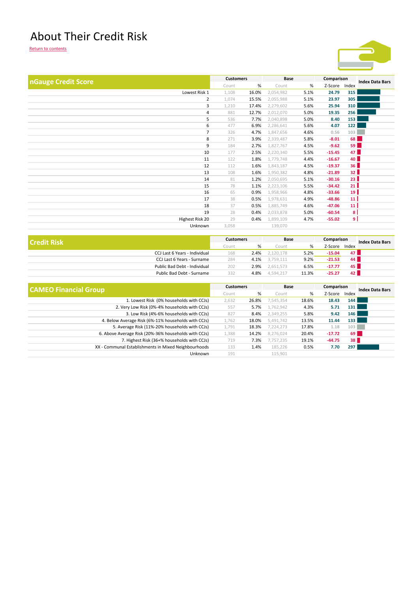### About Their Credit Risk



|                     | <b>Customers</b> |       | Base      |      |            |                 |                        |
|---------------------|------------------|-------|-----------|------|------------|-----------------|------------------------|
| nGauge Credit Score |                  |       |           |      | Comparison |                 | <b>Index Data Bars</b> |
|                     | Count            | %     | Count     | %    | Z-Score    | Index           |                        |
| Lowest Risk 1       | 1,108            | 16.0% | 2,054,982 | 5.1% | 24.79      | 315             |                        |
| 2                   | 1,074            | 15.5% | 2,055,988 | 5.1% | 23.97      | 305             |                        |
| 3                   | 1,210            | 17.4% | 2,279,602 | 5.6% | 25.94      | 310             |                        |
| $\overline{4}$      | 881              | 12.7% | 2,012,070 | 5.0% | 19.35      | 256             |                        |
| 5                   | 536              | 7.7%  | 2,040,898 | 5.0% | 8.40       | 153             |                        |
| 6                   | 477              | 6.9%  | 2,286,641 | 5.6% | 4.07       | 122             |                        |
| $\overline{7}$      | 326              | 4.7%  | 1,847,656 | 4.6% | 0.56       | 103             |                        |
| 8                   | 271              | 3.9%  | 2,339,487 | 5.8% | $-8.01$    | 68              |                        |
| 9                   | 184              | 2.7%  | 1,827,767 | 4.5% | $-9.62$    | 59              |                        |
| 10                  | 177              | 2.5%  | 2,220,340 | 5.5% | $-15.45$   | 47              |                        |
| 11                  | 122              | 1.8%  | 1,779,748 | 4.4% | $-16.67$   | 40              |                        |
| 12                  | 112              | 1.6%  | 1,843,187 | 4.5% | $-19.37$   | 36 <sup>1</sup> |                        |
| 13                  | 108              | 1.6%  | 1,950,382 | 4.8% | $-21.89$   | 32              |                        |
| 14                  | 81               | 1.2%  | 2,050,695 | 5.1% | $-30.16$   | 23 <sup>1</sup> |                        |
| 15                  | 78               | 1.1%  |           | 5.5% | $-34.42$   | 21              |                        |
|                     |                  |       | 2,223,106 |      |            |                 |                        |
| 16                  | 65               | 0.9%  | 1,958,966 | 4.8% | $-33.66$   | 19              |                        |
| 17                  | 38               | 0.5%  | 1,978,631 | 4.9% | $-48.86$   | 11 <sup>1</sup> |                        |
| 18                  | 37               | 0.5%  | 1,885,749 | 4.6% | $-47.06$   | 11              |                        |
| 19                  | 28               | 0.4%  | 2,033,878 | 5.0% | $-60.54$   | 8 <sup>1</sup>  |                        |
| Highest Risk 20     | 29               | 0.4%  | 1,899,109 | 4.7% | $-55.02$   | ا و             |                        |
| Unknown             | 3,058            |       | 139,070   |      |            |                 |                        |
|                     |                  |       |           |      |            |                 |                        |

| <b>Credit Risk</b>            | <b>Customers</b> |      | Base      |       | Comparison |                 | <b>Index Data Bars</b> |
|-------------------------------|------------------|------|-----------|-------|------------|-----------------|------------------------|
|                               | Count            | %    | Count     | %     | Z-Score    | Index           |                        |
| CCJ Last 6 Years - Individual | 168              | 2.4% | 2.120.178 | 5.2%  | $-15.04$   | 47 <sub>h</sub> |                        |
| CCJ Last 6 Years - Surname    | 284              | 4.1% | 3.759.111 | 9.2%  | $-21.53$   | 44 N            |                        |
| Public Bad Debt - Individual  | 202              | 2.9% | 2.651.573 | 6.5%  | $-17.77$   | 45 I            |                        |
| Public Bad Debt - Surname     | 332              | 4.8% | 4.594.217 | 11.3% | -25.27     | 42 <sub>1</sub> |                        |

| <b>CAMEO Financial Group</b>                         | <b>Customers</b> |       | Base      |       | Comparison |       | <b>Index Data Bars</b> |
|------------------------------------------------------|------------------|-------|-----------|-------|------------|-------|------------------------|
|                                                      | Count            | %     | Count     | %     | Z-Score    | Index |                        |
| 1. Lowest Risk (0% households with CCJs)             | 2,632            | 26.8% | 7,545,354 | 18.6% | 18.43      | 144   |                        |
| 2. Very Low Risk (0%-4% households with CCJs)        | 557              | 5.7%  | 1,762,942 | 4.3%  | 5.71       | 131   |                        |
| 3. Low Risk (4%-6% households with CCJs)             | 827              | 8.4%  | 2,349,255 | 5.8%  | 9.42       | 146   |                        |
| 4. Below Average Risk (6%-11% households with CCJs)  | 1,762            | 18.0% | 5,491,742 | 13.5% | 11.44      | 133   |                        |
| 5. Average Risk (11%-20% households with CCJs)       | 1,791            | 18.3% | 7,224,273 | 17.8% | 1.18       | 103   |                        |
| 6. Above Average Risk (20%-36% households with CCJs) | 1,388            | 14.2% | 8,276,024 | 20.4% | $-17.72$   | 69    |                        |
| 7. Highest Risk (36+% households with CCJs)          | 719              | 7.3%  | 7,757,235 | 19.1% | $-44.75$   | 38    |                        |
| XX - Communal Establishments in Mixed Neighbourhoods | 133              | 1.4%  | 185,226   | 0.5%  | 7.70       | 297   |                        |
| Unknown                                              | 191              |       | 115,901   |       |            |       |                        |
|                                                      |                  |       |           |       |            |       |                        |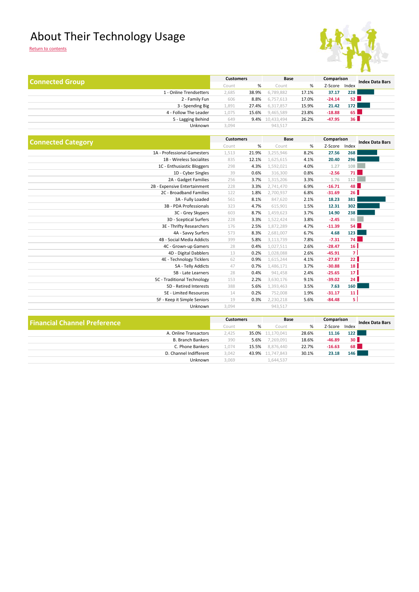### About Their Technology Usage



| <b>Connected Group</b> |                         | <b>Customers</b> |       | Base            |       | Comparison |                  | <b>Index Data Bars</b> |
|------------------------|-------------------------|------------------|-------|-----------------|-------|------------|------------------|------------------------|
|                        |                         | Count            | %     | Count           | %     | Z-Score    | Index            |                        |
|                        | 1 - Online Trendsetters | 2,685            | 38.9% | 6,789,882       | 17.1% | 37.17      | <b>228</b>       |                        |
|                        | 2 - Family Fun          | 606              | 8.8%  | 6,757,613       | 17.0% | $-24.14$   | 52 <sub>h</sub>  |                        |
|                        | 3 - Spending Big        | 1,891            | 27.4% | 6,317,857       | 15.9% | 21.42      | 172 <sub>1</sub> |                        |
|                        | 4 - Follow The Leader   | 1,075            | 15.6% | 9,465,589       | 23.8% | $-18.88$   | 65               |                        |
|                        | 5 - Lagging Behind      | 649              |       | 9.4% 10,433,494 | 26.2% | $-47.95$   | 36               |                        |
|                        | Unknown                 | 3,094            |       | 943,517         |       |            |                  |                        |
|                        |                         |                  |       |                 |       |            |                  |                        |

|                              | <b>Customers</b> |       | <b>Base</b> |      | Comparison |                 |                        |
|------------------------------|------------------|-------|-------------|------|------------|-----------------|------------------------|
| <b>Connected Category</b>    | Count            | %     | Count       | %    | Z-Score    | Index           | <b>Index Data Bars</b> |
| 1A - Professional Gamesters  | 1,513            | 21.9% | 3,255,946   | 8.2% | 27.56      | 268             |                        |
| 1B - Wireless Socialites     | 835              | 12.1% | 1,625,615   | 4.1% | 20.40      | 296             |                        |
| 1C - Enthusiastic Bloggers   | 298              | 4.3%  | 1,592,021   | 4.0% | 1.27       | 108             |                        |
| 1D - Cyber Singles           | 39               | 0.6%  | 316,300     | 0.8% | $-2.56$    | 71              |                        |
| 2A - Gadget Families         | 256              | 3.7%  | 1,315,206   | 3.3% | 1.76       | 112             |                        |
| 2B - Expensive Entertainment | 228              | 3.3%  | 2,741,470   | 6.9% | $-16.71$   | 48              |                        |
| 2C - Broadband Families      | 122              | 1.8%  | 2,700,937   | 6.8% | $-31.69$   | 26              |                        |
| 3A - Fully Loaded            | 561              | 8.1%  | 847,620     | 2.1% | 18.23      | 381             |                        |
| 3B - PDA Professionals       | 323              | 4.7%  | 615,901     | 1.5% | 12.31      | 302             |                        |
| 3C - Grey Skypers            | 603              | 8.7%  | 1,459,623   | 3.7% | 14.90      | 238             |                        |
| 3D - Sceptical Surfers       | 228              | 3.3%  | 1,522,424   | 3.8% | $-2.45$    | 86              |                        |
| 3E - Thrifty Researchers     | 176              | 2.5%  | 1,872,289   | 4.7% | $-11.39$   | 54              |                        |
| 4A - Savvy Surfers           | 573              | 8.3%  | 2,681,007   | 6.7% | 4.68       | 123             |                        |
| 4B - Social Media Addicts    | 399              | 5.8%  | 3,113,739   | 7.8% | $-7.31$    | 74 <sup>1</sup> |                        |
| 4C - Grown-up Gamers         | 28               | 0.4%  | 1,027,511   | 2.6% | $-28.47$   | 16              |                        |
| 4D - Digital Dabblers        | 13               | 0.2%  | 1,028,088   | 2.6% | $-45.91$   | 7 <sup>1</sup>  |                        |
| 4E - Technology Ticklers     | 62               | 0.9%  | 1,615,244   | 4.1% | $-27.87$   | 22              |                        |
| 5A - Telly Addicts           | 47               | 0.7%  | 1,486,171   | 3.7% | $-30.88$   | 18              |                        |
| 5B - Late Learners           | 28               | 0.4%  | 941,458     | 2.4% | $-25.65$   | 17 <sup>1</sup> |                        |
| 5C - Traditional Technology  | 153              | 2.2%  | 3,630,176   | 9.1% | $-39.02$   | 24 <sup>1</sup> |                        |
| 5D - Retired Interests       | 388              | 5.6%  | 1,393,463   | 3.5% | 7.63       | 160             |                        |
| 5E - Limited Resources       | 14               | 0.2%  | 752,008     | 1.9% | $-31.17$   | 11 <sup>1</sup> |                        |
| 5F - Keep it Simple Seniors  | 19               | 0.3%  | 2,230,218   | 5.6% | $-84.48$   | 5               |                        |
| Unknown                      | 3,094            |       | 943,517     |      |            |                 |                        |

| <b>Financial Channel Preference</b> | <b>Customers</b> |       | Base       |       | Comparison |                 | <b>Index Data Bars</b> |
|-------------------------------------|------------------|-------|------------|-------|------------|-----------------|------------------------|
|                                     | Count            | %     | Count      | %     | Z-Score    | Index           |                        |
| A. Online Transactors               | 2.425            | 35.0% | 11.170.041 | 28.6% | 11.16      | 122             |                        |
| <b>B. Branch Bankers</b>            | 390              | 5.6%  | 7.269.091  | 18.6% | $-46.89$   | 30 <sub>h</sub> |                        |
| C. Phone Bankers                    | 4,074            | 15.5% | 8.876.440  | 22.7% | $-16.63$   | 68 <sup>1</sup> |                        |
| D. Channel Indifferent              | 3.042            | 43.9% | 11.747.843 | 30.1% | 23.18      | 146             |                        |
| Unknown                             | 3.069            |       | 1,644,537  |       |            |                 |                        |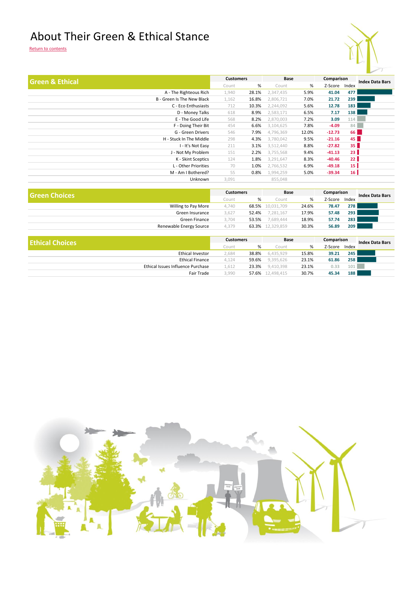### About Their Green & Ethical Stance



|                            |       |       | <b>Base</b>      |       |          |                 | <b>Index Data Bars</b> |
|----------------------------|-------|-------|------------------|-------|----------|-----------------|------------------------|
|                            | Count | %     | Count            | %     | Z-Score  | Index           |                        |
| A - The Righteous Rich     | 1,940 | 28.1% | 2,347,435        | 5.9%  | 41.04    | 477             |                        |
| B - Green Is The New Black | 1,162 | 16.8% | 2,806,721        | 7.0%  | 21.72    | 239             |                        |
| C - Eco Enthusiasts        | 712   | 10.3% | 2,244,092        | 5.6%  | 12.78    | 183             |                        |
| D - Money Talks            | 618   | 8.9%  | 2,583,171        | 6.5%  | 7.17     | 138             |                        |
| E - The Good Life          | 568   | 8.2%  | 2,870,003        | 7.2%  | 3.09     | 114             |                        |
| F - Doing Their Bit        | 454   | 6.6%  | 3,104,625        | 7.8%  | $-4.09$  | 84              |                        |
| G - Green Drivers          | 546   | 7.9%  | 4,796,369        | 12.0% | $-12.73$ | 66              |                        |
| H - Stuck In The Middle    | 298   | 4.3%  | 3,780,042        | 9.5%  | $-21.16$ | 45              |                        |
| I - It's Not Easy          | 211   | 3.1%  | 3,512,440        | 8.8%  | $-27.82$ | 35 <sup>1</sup> |                        |
| J - Not My Problem         | 151   | 2.2%  | 3,755,568        | 9.4%  | $-41.13$ | 23 <sup>1</sup> |                        |
| K - Skint Sceptics         | 124   | 1.8%  | 3,291,647        | 8.3%  | $-40.46$ | 22              |                        |
| L - Other Priorities       | 70    | 1.0%  | 2,766,532        | 6.9%  | $-49.18$ | 15 <sup>1</sup> |                        |
| M - Am I Bothered?         | 55    | 0.8%  | 1,994,259        | 5.0%  | $-39.34$ | 16              |                        |
| Unknown                    | 3,091 |       | 855,048          |       |          |                 |                        |
|                            |       |       | <b>Customers</b> |       |          |                 | Comparison             |

| <b>Green Choices</b>    | <b>Customers</b> |       | <b>Base</b>      |       | Comparison |       | <b>Index Data Bars</b> |
|-------------------------|------------------|-------|------------------|-------|------------|-------|------------------------|
|                         | Count            | %     | Count            | %     | Z-Score    | Index |                        |
| Willing to Pay More     | 4.740            |       | 68.5% 10.031.709 | 24.6% | 78.47      | 278   |                        |
| Green Insurance         | 3.627            | 52.4% | 7,281,167        | 17.9% | 57.48      | 293   |                        |
| Green Finance           | 3,704            | 53.5% | 7,689,444        | 18.9% | 57.74      | 283   |                        |
| Renewable Energy Source | 4,379            |       | 63.3% 12,329,859 | 30.3% | 56.89      | 209   |                        |

| <b>Ethical Choices</b>            | <b>Customers</b> |       | Base       |       | Comparison |       | <b>Index Data Bars</b> |
|-----------------------------------|------------------|-------|------------|-------|------------|-------|------------------------|
|                                   | Count            | %     | Count      | %     | Z-Score    | Index |                        |
| Ethical Investor                  | 2.684            | 38.8% | 6,435,929  | 15.8% | 39.21      | 245   |                        |
| <b>Ethical Finance</b>            | 4,124            | 59.6% | 9.395.626  | 23.1% | 61.86      | 258   |                        |
| Ethical Issues Influence Purchase | L.612            | 23.3% | 9.410.398  | 23.1% | 0.33       | 101   |                        |
| Fair Trade                        | 3,990            | 57.6% | 12.498.415 | 30.7% | 45.34      | 188   |                        |
|                                   |                  |       |            |       |            |       |                        |

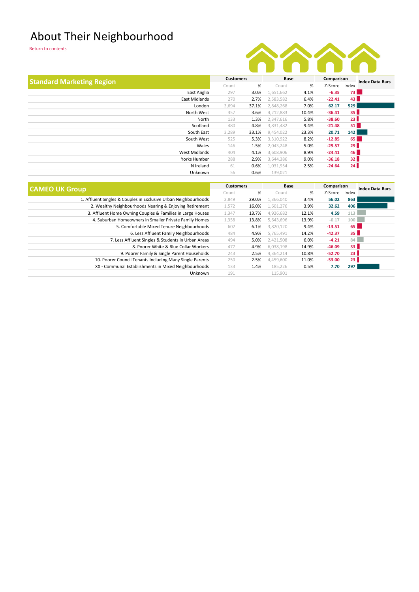### About Their Neighbourhood



| <b>Standard Marketing Region</b>                               |       | <b>Customers</b> |                  | Base  |          | Comparison | <b>Index Data Bars</b> |  |                        |
|----------------------------------------------------------------|-------|------------------|------------------|-------|----------|------------|------------------------|--|------------------------|
|                                                                | Count | %                | Count            | %     | Z-Score  | Index      |                        |  |                        |
| East Anglia                                                    | 297   | 3.0%             | 1,651,662        | 4.1%  | $-6.35$  | <b>73</b>  |                        |  |                        |
| East Midlands                                                  | 270   | 2.7%             | 2,583,582        | 6.4%  | $-22.41$ | 43         |                        |  |                        |
| London                                                         | 3,694 | 37.1%            | 2,848,268        | 7.0%  | 62.17    | 529        |                        |  |                        |
| North West                                                     | 357   | 3.6%             | 4,212,883        | 10.4% | $-36.41$ | 35         |                        |  |                        |
| North                                                          | 133   | 1.3%             | 2,347,616        | 5.8%  | $-38.60$ | 23         |                        |  |                        |
| Scotland                                                       | 480   | 4.8%             | 3,831,482        | 9.4%  | $-21.48$ | 51         |                        |  |                        |
| South East                                                     | 3,289 | 33.1%            | 9,454,022        | 23.3% | 20.71    | 142        |                        |  |                        |
| South West                                                     | 525   | 5.3%             | 3,310,922        | 8.2%  | $-12.85$ | 65         |                        |  |                        |
| Wales                                                          | 146   | 1.5%             | 2,043,248        | 5.0%  | $-29.57$ | 29         |                        |  |                        |
| West Midlands                                                  | 404   | 4.1%             | 3,608,906        | 8.9%  | $-24.41$ | 46         |                        |  |                        |
| Yorks Humber                                                   | 288   | 2.9%             | 3,644,386        | 9.0%  | $-36.18$ | 32         |                        |  |                        |
| N Ireland                                                      | 61    | 0.6%             | 1,031,954        | 2.5%  | $-24.64$ | 24         |                        |  |                        |
| Unknown                                                        | 56    | 0.6%             | 139,021          |       |          |            |                        |  |                        |
|                                                                |       |                  |                  |       |          |            |                        |  |                        |
|                                                                |       |                  | <b>Customers</b> |       | Base     |            | Comparison             |  | <b>Index Data Bars</b> |
| <b>CAMEO UK Group</b>                                          |       | %                | Count            | %     | Z-Score  | Index      |                        |  |                        |
| 1 Affluent Singles & Couples in Exclusive Urban Neighbourhoods | 2.819 | 29 UN            | 1366040          | 2.1%  | 56.02    | R63        |                        |  |                        |

|                                                                 | Count | %     | Count     | %     | Z-Score  | Index |  |
|-----------------------------------------------------------------|-------|-------|-----------|-------|----------|-------|--|
| 1. Affluent Singles & Couples in Exclusive Urban Neighbourhoods | 2,849 | 29.0% | 1,366,040 | 3.4%  | 56.02    | 863   |  |
| 2. Wealthy Neighbourhoods Nearing & Enjoying Retirement         | 1,572 | 16.0% | 1,601,276 | 3.9%  | 32.62    | 406   |  |
| 3. Affluent Home Owning Couples & Families in Large Houses      | 1,347 | 13.7% | 4,926,682 | 12.1% | 4.59     | 113   |  |
| 4. Suburban Homeowners in Smaller Private Family Homes          | 1,358 | 13.8% | 5,643,696 | 13.9% | $-0.17$  | 100   |  |
| 5. Comfortable Mixed Tenure Neighbourhoods                      | 602   | 6.1%  | 3,820,120 | 9.4%  | $-13.51$ | 65 L  |  |
| 6. Less Affluent Family Neighbourhoods                          | 484   | 4.9%  | 5,765,491 | 14.2% | $-42.37$ | 35    |  |
| 7. Less Affluent Singles & Students in Urban Areas              | 494   | 5.0%  | 2,421,508 | 6.0%  | $-4.21$  | 84    |  |
| 8. Poorer White & Blue Collar Workers                           | 477   | 4.9%  | 6,038,198 | 14.9% | $-46.09$ | 33    |  |
| 9. Poorer Family & Single Parent Households                     | 243   | 2.5%  | 4,364,214 | 10.8% | $-52.70$ | 23    |  |
| 10. Poorer Council Tenants Including Many Single Parents        | 250   | 2.5%  | 4,459,600 | 11.0% | $-53.00$ | 23    |  |
| XX - Communal Establishments in Mixed Neighbourhoods            | 133   | 1.4%  | 185,226   | 0.5%  | 7.70     | 297   |  |
| Unknown                                                         | 191   |       | 115,901   |       |          |       |  |
|                                                                 |       |       |           |       |          |       |  |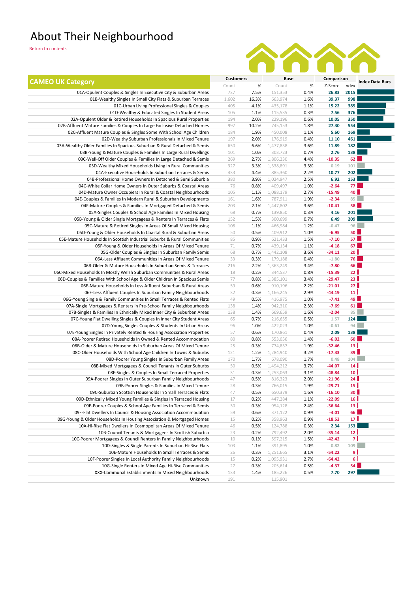### About Their Neighbourhood



| <b>CAMEO UK Category</b>                                                  | <b>Customers</b> |       | Base      |      | Comparison    |                 | <b>Index Data Bars</b> |
|---------------------------------------------------------------------------|------------------|-------|-----------|------|---------------|-----------------|------------------------|
|                                                                           | Count            | $\%$  | Count     | %    | Z-Score Index |                 |                        |
| 01A-Opulent Couples & Singles In Executive City & Suburban Areas          | 737              | 7.5%  | 151,353   | 0.4% | 26.83         | 2015            |                        |
| 01B-Wealthy Singles In Small City Flats & Suburban Terraces               | 1,602            | 16.3% | 663,974   | 1.6% | 39.37         | 998             |                        |
| 01C-Urban Living Professional Singles & Couples                           | 405              | 4.1%  | 435,178   | 1.1% | 15.22         | 385             |                        |
| 01D-Wealthy & Educated Singles In Student Areas                           | 105              | 1.1%  | 115,535   | 0.3% | 7.56          | 376             |                        |
| 02A-Opulent Older & Retired Households In Spacious Rural Properties       | 194              | 2.0%  | 229,196   | 0.6% | 10.05         | 350             |                        |
| 02B-Affluent Mature Families & Couples In Large Exclusive Detached Homes  | 997              | 10.2% | 745,153   | 1.8% | 27.30         | 554             |                        |
| 02C-Affluent Mature Couples & Singles Some With School Age Children       | 184              | 1.9%  | 450,008   | 1.1% | 5.60          | 169             |                        |
| 02D-Wealthy Suburban Professionals In Mixed Tenure                        | 197              | 2.0%  | 176,919   | 0.4% | 11.10         | 461             |                        |
| 03A-Wealthy Older Families In Spacious Suburban & Rural Detached & Semis  | 650              | 6.6%  | 1,477,838 | 3.6% | 11.89         | 182             |                        |
| 03B-Young & Mature Couples & Families In Large Rural Dwellings            | 101              | 1.0%  | 303,723   | 0.7% | 2.76          | 138             |                        |
| 03C-Well-Off Older Couples & Families In Large Detached & Semis           | 269              | 2.7%  | 1,806,230 | 4.4% | $-10.35$      | 62              |                        |
| 03D-Wealthy Mixed Households Living In Rural Communities                  | 327              | 3.3%  | 1,338,891 | 3.3% | 0.19          | 101             |                        |
| 04A-Executive Households In Suburban Terraces & Semis                     | 433              | 4.4%  | 885,360   | 2.2% | 10.77         | 202             |                        |
| 04B-Professional Home Owners In Detached & Semi Suburbia                  | 380              | 3.9%  | 1,024,947 | 2.5% | 6.92          | 153             |                        |
| 04C-White Collar Home Owners In Outer Suburbs & Coastal Areas             | 76               | 0.8%  | 409,497   | 1.0% | $-2.64$       | 77 I            |                        |
| 04D-Mature Owner Occupiers In Rural & Coastal Neighbourhoods              | 105              | 1.1%  | 1,088,179 | 2.7% | $-15.49$      | 40              |                        |
| 04E-Couples & Families In Modern Rural & Suburban Developments            | 161              | 1.6%  | 787,911   | 1.9% | $-2.34$       | 85              |                        |
| 04F-Mature Couples & Families In Mortgaged Detached & Semis               | 203              | 2.1%  | 1,447,802 | 3.6% | $-10.41$      | <b>58</b>       |                        |
| 05A-Singles Couples & School Age Families In Mixed Housing                | 68               | 0.7%  | 139,850   | 0.3% | 4.16          | 201             |                        |
| 05B-Young & Older Single Mortgagees & Renters In Terraces & Flats         | 152              | 1.5%  | 300,699   | 0.7% | 6.49          | 209             |                        |
| 05C-Mature & Retired Singles In Areas Of Small Mixed Housing              | 108              | 1.1%  | 466,984   | 1.2% | $-0.47$       | 96              |                        |
| 05D-Young & Older Households In Coastal Rural & Suburban Areas            | 50               | 0.5%  | 409,912   | 1.0% | $-6.95$       | <b>50</b>       |                        |
| 05E-Mature Households In Scottish Industrial Suburbs & Rural Communities  | 85               | 0.9%  | 621,433   | 1.5% | $-7.10$       | 57 <sub>1</sub> |                        |
| 05F-Young & Older Households In Areas Of Mixed Tenure                     | 71               | 0.7%  | 439,134   | 1.1% | $-4.18$       | 67              |                        |
| 05G-Older Couples & Singles In Suburban Family Semis                      | 68               | 0.7%  | 1,442,108 | 3.6% | $-34.11$      | 20 <sub>1</sub> |                        |
| 06A-Less Affluent Communities In Areas Of Mixed Tenure                    | 33               | 0.3%  | 179,188   | 0.4% | $-1.80$       | <b>76</b>       |                        |
| 06B-Older & Mature Households In Suburban Semis & Terraces                | 216              | 2.2%  | 1,363,249 | 3.4% | $-7.80$       | <b>66</b>       |                        |
| 06C-Mixed Households In Mostly Welsh Suburban Communities & Rural Areas   | 18               | 0.2%  | 344,537   | 0.8% | $-15.39$      | 22 <sub>1</sub> |                        |
| 06D-Couples & Families With School Age & Older Children In Spacious Semis | 77               | 0.8%  | 1,385,101 | 3.4% | $-29.47$      | 23 <sup>1</sup> |                        |
| 06E-Mature Households In Less Affluent Suburban & Rural Areas             | 59               | 0.6%  | 910,196   | 2.2% | $-21.01$      | 27 <sup>1</sup> |                        |
| 06F-Less Affluent Couples In Suburban Family Neighbourhoods               | 32               | 0.3%  | 1,166,245 | 2.9% | $-44.19$      | 11              |                        |
| 06G-Young Single & Family Communities In Small Terraces & Rented Flats    | 49               | 0.5%  | 416,975   | 1.0% | $-7.41$       | 49              |                        |
| 07A-Single Mortgagees & Renters In Pre-School Family Neighbourhoods       | 138              | 1.4%  | 942,310   | 2.3% | $-7.69$       | 61              |                        |
| 07B-Singles & Families In Ethnically Mixed Inner City & Suburban Areas    | 138              | 1.4%  | 669,659   | 1.6% | $-2.04$       | 85              |                        |
| 07C-Young Flat Dwelling Singles & Couples In Inner City Student Areas     | 65               | 0.7%  | 216,655   | 0.5% | 1.57          | 124             |                        |
| 07D-Young Singles Couples & Students In Urban Areas                       | 96               | 1.0%  | 422,023   | 1.0% | $-0.61$       | 94              |                        |
| 07E-Young Singles In Privately Rented & Housing Association Properties    | 57               | 0.6%  | 170,861   | 0.4% | 2.09          | 138             |                        |
| 08A-Poorer Retired Households In Owned & Rented Accommodation             | 80               | 0.8%  | 553,056   | 1.4% | $-6.02$       | 60              |                        |
| 08B-Older & Mature Households In Suburban Areas Of Mixed Tenure           | 25               | 0.3%  | 774,837   | 1.9% | $-32.46$      | 13 <sup>1</sup> |                        |
| 08C-Older Households With School Age Children In Towns & Suburbs          | 121              | 1.2%  | 1,284,940 | 3.2% | $-17.33$      | 39              |                        |
| 08D-Poorer Young Singles In Suburban Family Areas                         | 170              | 1.7%  | 678,090   | 1.7% | 0.48          | 104             |                        |
| 08E-Mixed Mortgagees & Council Tenants In Outer Suburbs                   | 50               | 0.5%  | 1,494,212 | 3.7% | $-44.07$      | 14              |                        |
| 08F-Singles & Couples In Small Terraced Properties                        | 31               | 0.3%  | 1,253,063 | 3.1% | $-48.84$      | 10 <sup>1</sup> |                        |
| 09A-Poorer Singles In Outer Suburban Family Neighbourhoods                | 47               | 0.5%  | 816,323   | 2.0% | $-21.96$      | 24              |                        |
| 09B-Poorer Singles & Families In Mixed Tenure                             | 28               | 0.3%  | 766,015   | 1.9% | $-29.71$      | 15 <sup>1</sup> |                        |
| 09C-Suburban Scottish Households In Small Terraces & Flats                | 47               | 0.5%  | 650,379   | 1.6% | $-16.10$      | 30 <sup>1</sup> |                        |
| 09D-Ethnically Mixed Young Families & Singles In Terraced Housing         | 17               | 0.2%  | 447,284   | 1.1% | $-22.09$      | 16 <sup>1</sup> |                        |
| 09E-Poorer Couples & School Age Families In Terraced & Semis              | 30               | 0.3%  | 954,128   | 2.4% | $-36.64$      | 13 <sup>1</sup> |                        |
| 09F-Flat Dwellers In Council & Housing Association Accommodation          | 59               | 0.6%  | 371,122   | 0.9% | $-4.01$       | 66              |                        |
| 09G-Young & Older Households In Housing Association & Mortgaged Homes     | 15               | 0.2%  | 358,963   | 0.9% | $-18.53$      | 17 <sup>1</sup> |                        |
| 10A-Hi-Rise Flat Dwellers In Cosmopolitan Areas Of Mixed Tenure           | 46               | 0.5%  | 124,788   | 0.3% | 2.34          | 153             |                        |
| 10B-Council Tenants & Mortgagees In Scottish Suburbia                     | 23               | 0.2%  | 792,492   | 2.0% | $-35.14$      | 12              |                        |
| 10C-Poorer Mortgagees & Council Renters In Family Neighbourhoods          | 10               | 0.1%  | 597,215   | 1.5% | $-42.42$      | 7 I             |                        |
| 10D-Singles & Single Parents In Suburban Hi-Rise Flats                    | 103              | 1.1%  | 391,895   | 1.0% | 0.82          | 109             |                        |
| 10E-Mature Households In Small Terraces & Semis                           | 26               | 0.3%  | 1,251,665 | 3.1% | $-54.22$      | 9               |                        |
| 10F-Poorer Singles In Local Authority Family Neighbourhoods               | 15               | 0.2%  | 1,095,931 | 2.7% | $-64.42$      | $6\phantom{a}$  |                        |
| 10G-Single Renters In Mixed Age Hi-Rise Communities                       | 27               | 0.3%  | 205,614   | 0.5% | $-4.37$       | 54              |                        |
| XXX-Communal Establishments In Mixed Neighbourhoods                       | 133              | 1.4%  | 185,226   | 0.5% | 7.70          | 297             |                        |
| Unknown                                                                   | 191              |       | 115,901   |      |               |                 |                        |